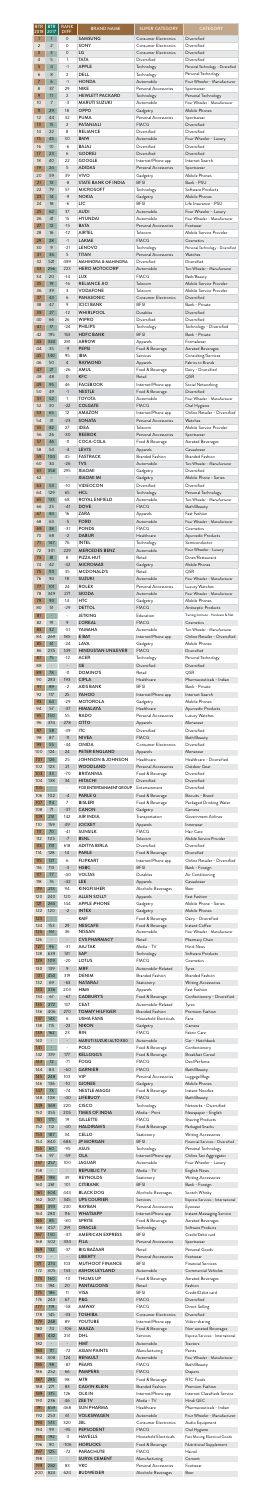| <b>BTR</b><br>2018<br>$\mathbf{1}$ | <b>BTR</b><br>2017<br>1  | <b>RANK</b><br>DIFF.<br>$\mathsf{O}\xspace$ | <b>BRAND NAME</b><br><b>SAMSUNG</b>                              | <b>SUPER CATEGORY</b><br><b>Consumer Electronics</b> | <b>CATEGORY</b><br>Diversified                                         |
|------------------------------------|--------------------------|---------------------------------------------|------------------------------------------------------------------|------------------------------------------------------|------------------------------------------------------------------------|
| 2                                  | $\overline{2}$           | $\mathbf 0$                                 | SONY                                                             | <b>Consumer Electronics</b>                          | Diversified                                                            |
| 3                                  | 3                        | $\mathsf{O}$                                | LG                                                               | <b>Consumer Electronics</b>                          | Diversified                                                            |
| 4                                  | 5                        | 1                                           | <b>TATA</b>                                                      | Diversified                                          | Diversified                                                            |
| 5                                  | 4                        | $-1$                                        | <b>APPLE</b>                                                     | Technology                                           | Personal Technology - Diversified                                      |
| 6                                  | 8                        | 2                                           | <b>DELL</b>                                                      | Technology                                           | Personal Technology                                                    |
| $\overline{7}$                     | 6                        | $-1$                                        | <b>HONDA</b>                                                     | Automobile                                           | Four Wheeler - Manufacturer                                            |
| 8                                  | 37                       | 29                                          | <b>NIKE</b>                                                      | Personal Accessories                                 | Sportswear                                                             |
| 9                                  | 11                       | 2                                           | <b>HEWLETT PACKARD</b>                                           | Technology                                           | Personal Technology                                                    |
| 10                                 | 7                        | $-3$                                        | <b>MARUTI SUZUKI</b>                                             | Automobile                                           | Four Wheeler - Manufacturer                                            |
| 11                                 | 29                       | 18                                          | <b>OPPO</b>                                                      | Gadgetry                                             | Mobile Phones                                                          |
| 12                                 | 44                       | 32                                          | <b>PUMA</b>                                                      | Personal Accessories                                 | Sportswear                                                             |
| 13                                 | 15                       | $\overline{2}$                              | <b>PATANJALI</b>                                                 | <b>FMCG</b>                                          | <b>Diversified</b>                                                     |
| 14                                 | 22                       | 8                                           | <b>RELIANCE</b>                                                  | Diversified                                          | Diversified                                                            |
| 15                                 | 45                       | 30                                          | <b>BMW</b>                                                       | Automobile                                           | Four Wheeler - Luxury                                                  |
| 16                                 | 10                       | $-6$                                        | <b>BAJAJ</b>                                                     | Diversified                                          | Diversified                                                            |
| 17                                 | 23                       | 6                                           | <b>GODREJ</b>                                                    | Diversified                                          | Diversified                                                            |
| 18                                 | 40                       | 22                                          | <b>GOOGLE</b>                                                    | Internet/Phone app                                   | Internet Search                                                        |
| 19                                 | 24                       | 5                                           | <b>ADIDAS</b>                                                    | Personal Accessories                                 | Sportswear                                                             |
| 20                                 | 59                       | 39                                          | <b>VIVO</b>                                                      | Gadgetry                                             | Mobile Phones                                                          |
| 21                                 | 13                       | $-8$                                        | <b>STATE BANK OF INDIA</b>                                       | <b>BFSI</b>                                          | Bank - PSU                                                             |
| 22                                 | 79                       | 57                                          | <b>MICROSOFT</b>                                                 | Technology                                           | Software Products                                                      |
| 23                                 | 14                       | $-9$                                        | <b>NOKIA</b>                                                     | Gadgetry                                             | Mobile Phones                                                          |
| 24                                 | 18                       | $-6$                                        | LIC                                                              | <b>BFSI</b>                                          | Life Insurance - PSU                                                   |
| 25                                 | 62                       | 37                                          | <b>AUDI</b>                                                      | Automobile                                           | Four Wheeler - Luxury                                                  |
| 26                                 | 41                       | 15                                          | <b>HYUNDAI</b>                                                   | Automobile                                           | Four Wheeler - Manufacturer                                            |
| 27                                 | 12                       | $-15$                                       | <b>BATA</b>                                                      | Personal Accessories                                 | Footwear                                                               |
| 28                                 | 16                       | $-12$                                       | <b>AIRTEL</b>                                                    | Telecom                                              | Mobile Service Provider                                                |
| 29                                 | 28                       | $-1$                                        | <b>LAKME</b>                                                     | <b>FMCG</b>                                          | Cosmetics                                                              |
| 30                                 | 9                        | $-21$                                       | <b>LENOVO</b>                                                    | Technology                                           | Personal Technology - Diversified                                      |
| 31                                 | 36                       | 5                                           | <b>TITAN</b>                                                     | Personal Accessories                                 | Watches                                                                |
| 32                                 | 521                      | 489                                         | <b>MAHINDRA &amp; MAHINDRA</b>                                   | Diversified                                          | Diversified                                                            |
| 33                                 | 256                      | 223                                         | <b>HERO MOTOCORP</b>                                             | Automobile                                           | Two Wheeler - Manufacturer                                             |
| 34                                 | 20                       | $-14$                                       | <b>LUX</b>                                                       | <b>FMCG</b>                                          | Bath/Beauty                                                            |
| 35                                 | 19                       | $-16$                                       | <b>RELIANCE JIO</b>                                              | Telecom                                              | Mobile Service Provider                                                |
| 36                                 | 39                       | 3                                           | <b>VODAFONE</b>                                                  | Telecom                                              | Mobile Service Provider                                                |
| 37                                 | 43                       | 6                                           | <b>PANASONIC</b>                                                 | <b>Consumer Electronics</b>                          | Diversified                                                            |
| 38                                 | 47                       | 9                                           | <b>ICICI BANK</b>                                                | <b>BFSI</b>                                          | Bank - Private                                                         |
| 39                                 | 27                       | $-12$                                       | <b>WHIRLPOOL</b>                                                 | Durables                                             | Diversified                                                            |
| 40                                 | 66                       | 26                                          | <b>WIPRO</b>                                                     | Diversified                                          | Diversified                                                            |
| 41                                 | 17                       | $-24$                                       | <b>PHILIPS</b>                                                   | Technology                                           | Technology - Diversified                                               |
| 42                                 | 195                      | 153                                         | <b>HDFC BANK</b>                                                 | <b>BFSI</b>                                          | Bank - Private                                                         |
| 43                                 | 324                      | 281                                         | <b>ARROW</b>                                                     | Apparels                                             | Formalwear                                                             |
| 44                                 | 35                       | $-9$                                        | <b>PEPSI</b>                                                     | Food & Beverage                                      | <b>Aerated Beverages</b>                                               |
| 45                                 | 140                      | 95                                          | <b>IBM</b>                                                       | Services                                             | Consulting/Services                                                    |
| 46                                 | 50                       | $\overline{4}$                              | <b>RAYMOND</b>                                                   | Apparels                                             | Fabrics to Brands                                                      |
| 47                                 | 21                       | $-26$                                       | AMUL                                                             | Food & Beverage                                      | Dairy - Diversified                                                    |
| 48                                 | 48                       | $\mathsf{O}$                                | <b>KFC</b>                                                       | Retail                                               | QSR                                                                    |
| 49<br>50                           | 95<br>49                 | 46<br>$-1$                                  | <b>FACEBOOK</b><br><b>NESTLE</b><br><b>TOYOTA</b>                | Internet/Phone app<br>Food & Beverage<br>Automobile  | Social Networking<br><b>Diversified</b><br>Four Wheeler - Manufacturer |
| 51<br>52<br>53                     | 52<br>30<br>65           | 1<br>$-22$<br>12                            | <b>COLGATE</b><br><b>AMAZON</b>                                  | <b>FMCG</b><br>Internet/Phone app                    | Oral Hygiene<br>Online Retailer - Diversified                          |
| 54                                 | 31                       | $-23$                                       | <b>SONATA</b>                                                    | Personal Accessories                                 | Watches                                                                |
| 55                                 | 82                       | 27                                          | <b>IDEA</b>                                                      | Telecom                                              | Mobile Service Provider                                                |
| 56                                 | 26                       | $-30$                                       | <b>REEBOK</b>                                                    | Personal Accessories                                 | Sportswear                                                             |
| 57                                 | 46                       | $-11$                                       | <b>COCA-COLA</b>                                                 | Food & Beverage                                      | <b>Aerated Beverages</b>                                               |
| 58                                 | 54                       | $-4$                                        | <b>LEVI'S</b>                                                    | Apparels                                             | Casualwear                                                             |
| 59                                 | 104                      | 45                                          | <b>FASTRACK</b>                                                  | <b>Branded Fashion</b>                               | <b>Branded Fashion</b>                                                 |
| 60                                 | 34                       | $-26$                                       | <b>TVS</b>                                                       | Automobile                                           | Two Wheeler - Manufacturer                                             |
| 61                                 | 356                      | 295                                         | <b>XIAOMI</b>                                                    | Gadgetry                                             | Diversified                                                            |
| 62                                 |                          | $\overline{\phantom{a}}$                    | <b>XIAOMI MI</b>                                                 | Gadgetry                                             | Mobile Phone - Series                                                  |
| 63                                 | 53                       | $-10$                                       | <b>VIDEOCON</b>                                                  | Diversified                                          | Diversified                                                            |
| 64                                 | 129                      | 65                                          | <b>HCL</b>                                                       | Technology                                           | Personal Technology                                                    |
| 65                                 | 133                      | 68                                          | <b>ROYAL ENFIELD</b>                                             | Automobile                                           | Two Wheeler - Manufacturer                                             |
| 66                                 | 25                       | $-41$                                       | <b>DOVE</b>                                                      | <b>FMCG</b>                                          | Bath/Beauty                                                            |
| 67                                 | 83                       | 16                                          | <b>ZARA</b>                                                      | Apparels                                             | Fast Fashion                                                           |
| 68                                 | 63                       | $-5$                                        | <b>FORD</b>                                                      | Automobile                                           | Four Wheeler - Manufacturer                                            |
| 69                                 | 38                       | $-31$                                       | <b>PONDS</b>                                                     | <b>FMCG</b>                                          | Cosmetics                                                              |
| 70                                 | 68                       | $-2$                                        | <b>DABUR</b>                                                     | Healthcare                                           | Ayurvedic Products                                                     |
| 71                                 | 147                      | 76                                          | <b>INTEL</b>                                                     | Technology                                           | Semiconductor                                                          |
| 72                                 | 301                      | 229                                         | <b>MERCEDES BENZ</b>                                             | Automobile                                           | Four Wheeler - Luxury                                                  |
| 73                                 | 81                       | 8                                           | PIZZA HUT                                                        | Retail                                               | Diner/Restaurant                                                       |
| 74<br>75                           | 42<br>110                | $-32$<br>35<br>18                           | <b>MICROMAX</b><br><b>MCDONALD'S</b><br><b>SUZUKI</b>            | Gadgetry<br>Retail<br>Automobile                     | Mobile Phones<br>QSR<br>Four Wheeler - Manufacturer                    |
| 76<br>77<br>78                     | 94<br>101<br>349         | 24<br>271                                   | <b>ROLEX</b><br><b>SKODA</b>                                     | Personal Accessories<br>Automobile                   | Luxury Watches<br>Four Wheeler - Manufacturer                          |
| 79                                 | 93                       | 14                                          | <b>HTC</b>                                                       | Gadgetry                                             | Mobile Phones                                                          |
| 80                                 | 51                       | $-29$                                       | <b>DETTOL</b>                                                    | <b>FMCG</b>                                          | Antiseptic Products                                                    |
| 81                                 | ÷                        | $\overline{\phantom{a}}$                    | <b>JETKING</b>                                                   | Education                                            | Training Institute - Hardware & Net.                                   |
| 82                                 | 91                       | 9                                           | <b>L'OREAL</b>                                                   | <b>FMCG</b>                                          | Cosmetics                                                              |
| 83<br>84                           | 32<br>269                | $-51$<br>185<br>$-24$                       | YAMAHA<br>E BAY<br><b>LAVA</b>                                   | Automobile<br>Internet/Phone app                     | Two Wheeler - Manufacturer<br>Online Retailer - Diversified            |
| 85<br>86<br>87                     | 61<br>235<br>75          | 149<br>$-12$                                | <b>HINDUSTAN UNILEVER</b><br><b>ACER</b>                         | Gadgetry<br><b>FMCG</b><br>Technology                | Mobile Phones<br>Diversified<br>Personal Technology                    |
| 88                                 | $\overline{\phantom{0}}$ | $\Box$                                      | <b>GE</b>                                                        | Diversified                                          | Diversified                                                            |
| 89                                 | 78                       | $-11$                                       | <b>DOMINO'S</b>                                                  | Retail                                               | QSR                                                                    |
| 90                                 | 283                      | 193                                         | <b>CIPLA</b>                                                     | Healthcare                                           | Pharmaceuticals - Indian                                               |
| 91                                 | 89                       | $-2$                                        | <b>AXIS BANK</b>                                                 | <b>BFSI</b>                                          | Bank - Private                                                         |
| 92                                 | 117                      | 25                                          | <b>YAHOO</b>                                                     | Internet/Phone app                                   | Internet Search                                                        |
| 93                                 | 64                       | $-29$                                       | <b>MOTOROLA</b>                                                  | Gadgetry                                             | Mobile Phones                                                          |
| 94                                 | 57                       | $-37$                                       | <b>HIMALAYA</b>                                                  | Healthcare                                           | Ayurvedic Products                                                     |
| 95                                 | 150                      | 55                                          | <b>RADO</b>                                                      | Personal Accessories                                 | Luxury Watches                                                         |
| 96                                 | 374                      | 278                                         | <b>OTTO</b>                                                      | Apparels                                             | Menswear                                                               |
| 97                                 | 58                       | $-39$                                       | <b>ITC</b>                                                       | Diversified                                          | Diversified                                                            |
| 98                                 | 87                       | $-11$                                       | <b>NIVEA</b>                                                     | <b>FMCG</b>                                          | Bath/Beauty                                                            |
| 99                                 | 55                       | $-44$                                       | <b>ONIDA</b>                                                     | <b>Consumer Electronics</b>                          | Diversified                                                            |
| 100                                | 124                      | 24                                          | PETER ENGLAND                                                    | Apparels                                             | Menswear                                                               |
| 101                                | 126                      | 25                                          | JOHNSON & JOHNSON                                                | Healthcare                                           | Healthcare - Diversified                                               |
| 102                                | 123                      | 21                                          | <b>WOODLAND</b>                                                  | Personal Accessories                                 | Outdoor Gear                                                           |
| 103                                | 33                       | $-70$                                       | <b>BRITANNIA</b>                                                 | Food & Beverage                                      | Diversified                                                            |
| 104<br>105                         | 138                      | 34                                          | <b>HITACHI</b><br><b>FOX ENTERTAINMENT GROUP</b>                 | Diversified<br>Entertainment                         | Diversified<br>Diversified                                             |
| 106                                | 102                      | $-4$                                        | <b>PARLE G</b>                                                   | Food & Beverage                                      | Biscuits - Brand                                                       |
| 107                                | 114                      | $\overline{7}$                              | <b>BISLERI</b>                                                   | Food & Beverage                                      | Packaged Drinking Water                                                |
| 108                                | 71                       | $-37$                                       | <b>CANON</b>                                                     | Gadgetry                                             | Camera                                                                 |
| 109                                | 251                      | 142                                         | <b>AIR INDIA</b>                                                 | Transportation                                       | Government Airlines                                                    |
| 110                                | 159                      | 49                                          | <b>JOCKEY</b>                                                    | Apparels                                             | Innerwear                                                              |
| 111                                | 70                       | $-41$                                       | <b>SUNSILK</b>                                                   | <b>FMCG</b>                                          | Hair Care                                                              |
| 112                                | 105                      | $-7$                                        | <b>BSNL</b>                                                      | Telecom                                              | Mobile Service Provider                                                |
| 113                                | 731                      | 618                                         | <b>ADITYA BIRLA</b>                                              | Diversified                                          | Diversified                                                            |
| 114                                | 128                      | 14                                          | <b>PARLE</b>                                                     | Food & Beverage                                      | Diversified                                                            |
| 115<br>116                         | 121<br>113               | 6<br>$-3$                                   | <b>FLIPKART</b><br><b>HSBC</b><br><b>VOLTAS</b>                  | Internet/Phone app<br><b>BFSI</b>                    | Online Retailer - Diversified<br>Bank - Foreign                        |
| 117<br>118<br>119                  | 77<br>76<br>213          | $-40$<br>$-42$<br>94                        | LEE<br><b>KINGFISHER</b>                                         | Durables<br>Apparels<br>Alcoholic Beverages          | Air Conditioning<br>Casualwear<br>Beer                                 |
| 120                                | 240                      | 120                                         | <b>ALLEN SOLLY</b>                                               | Apparels                                             | Fast Fashion                                                           |
| 121                                | 265                      | 144                                         | <b>APPLE IPHONE</b>                                              | Gadgetry                                             | Mobile Phone - Series                                                  |
| 122                                | 120                      | $-2$                                        | <b>INTEX</b>                                                     | Gadgetry                                             | Mobile Phones                                                          |
| 123                                | $\overline{\phantom{a}}$ | $\overline{\phantom{a}}$                    | <b>KMF</b>                                                       | Food & Beverage                                      | Dairy - Diversified                                                    |
| 124<br>125<br>126                  | 153<br>161               | 29<br>36<br>$\overline{\phantom{a}}$        | <b>NESCAFE</b><br><b>NISSAN</b><br><b>CVS PHARMACY</b>           | Food & Beverage<br>Automobile<br>Retail              | Instant Coffee<br>Four Wheeler - Manufacturer<br>Pharmacy Chain        |
| 127                                | 96                       | $-31$                                       | <b>AAJ TAK</b>                                                   | Media - TV                                           | Hindi News                                                             |
| 128                                | 639                      | 511                                         | SAP                                                              | Technology                                           | Software Products                                                      |
| 129                                | 109                      | $-20$                                       | <b>LOTUS</b>                                                     | <b>FMCG</b>                                          | Cosmetics                                                              |
| 130                                | 139                      | $\overline{9}$                              | <b>MRF</b>                                                       | Automobile-Related                                   | Tyres                                                                  |
| 131                                | 450                      | 319                                         | <b>DENIM</b>                                                     | <b>Branded Fashion</b>                               | <b>Branded Fashion</b>                                                 |
| 132                                | 69                       | $-63$                                       | <b>NATARAJ</b>                                                   | Stationery                                           | <b>Writing Accessories</b>                                             |
| 133                                | 336                      | 203                                         | H&M                                                              | Apparels                                             | Fast Fashion                                                           |
| 134                                | 67                       | $-67$                                       | <b>CADBURY'S</b>                                                 | Food & Beverage                                      | Confectionery - Diversified                                            |
| 135                                | 272                      | 137                                         | <b>CEAT</b>                                                      | Automobile-Related                                   | Tyres                                                                  |
| 136                                | 406                      | 270                                         | <b>TOMMY HILFIGER</b>                                            | <b>Branded Fashion</b>                               | Premium Fashion                                                        |
| 137                                | 143                      | 6                                           | <b>USHA FANS</b>                                                 | <b>Household Electricals</b>                         | Fans                                                                   |
| 138<br>139                         | 115<br>162               | $-23$<br>23<br>$\overline{\phantom{a}}$     | <b>NIKON</b><br><b>RIN</b>                                       | Gadgetry<br><b>FMCG</b>                              | Camera<br>Fabric Care                                                  |
| 140<br>141<br>142                  | 319                      | 177                                         | MARUTI SUZUKI ALTO 800<br><b>POLO</b><br><b>KELLOGG'S</b>        | Automobile<br>Food & Beverage<br>Food & Beverage     | Car - Hatchback<br>Confectionery<br><b>Breakfast Cereal</b>            |
| 143                                | 72                       | $-71$                                       | <b>FOGG</b>                                                      | <b>FMCG</b>                                          | Deo/Perfume                                                            |
| 144                                | 84                       | $-60$                                       | <b>GARNIER</b>                                                   | <b>FMCG</b>                                          | Bath/Beauty                                                            |
| 145                                | 248                      | 103                                         | <b>VIP</b>                                                       | Personal Accessories                                 | Luggage/Bags                                                           |
| 146                                | 136                      | $-10$                                       | <b>GIONEE</b>                                                    | Gadgetry                                             | Mobile Phones                                                          |
| 147                                | 73                       | $-74$                                       | <b>NESTLE MAGGI</b>                                              | Food & Beverage                                      | <b>Instant Noodles</b>                                                 |
| 148                                | 108                      | $-40$                                       | <b>LIFEBUOY</b>                                                  | <b>FMCG</b>                                          | Bath/Beauty                                                            |
| 149                                | 369                      | 220                                         | <b>CISCO</b>                                                     | Technology                                           | Networks - Diversified                                                 |
| 150                                | 355                      | 205                                         | <b>TIMES OF INDIA</b>                                            | Media - Print                                        | Newspaper - English                                                    |
| 151                                | 170                      | 19                                          | <b>GILLETTE</b>                                                  | <b>FMCG</b>                                          | Shaving Products                                                       |
| 152                                | 112                      | $-40$                                       | <b>HALDIRAM'S</b>                                                | Food & Beverage                                      | Packaged Snacks                                                        |
| 153                                | 187                      | 34                                          | <b>CELLO</b>                                                     | Stationery                                           | <b>Writing Accessories</b>                                             |
| 154                                | 840                      | 686                                         | <b>JP MORGAN</b>                                                 | <b>BFSI</b>                                          | Financial Services - Diversified                                       |
| 155                                | 60                       | $-95$                                       | <b>ASUS</b>                                                      | Technology                                           | Personal Technology                                                    |
| 156<br>157<br>158                  | 97<br>257                | $-59$<br>100<br>$\overline{\phantom{a}}$    | <b>OLA</b><br><b>JAGUAR</b><br><b>REPUBLIC TV</b>                | Internet/Phone app<br>Automobile<br>Media - TV       | Online Taxi Aggregator<br>Four Wheeler - Luxury<br>English News        |
| 159                                | 198                      | 39                                          | <b>REYNOLDS</b>                                                  | Stationery                                           | <b>Writing Accessories</b>                                             |
| 160                                | 261                      | 101                                         | <b>CITIBANK</b>                                                  | <b>BFSI</b>                                          | Bank - Foreign                                                         |
| 161                                | 604                      | 443                                         | <b>BLACK DOG</b>                                                 | Alcoholic Beverages                                  | Scotch Whisky                                                          |
| 162                                | 507                      | 345                                         | <b>UPS COURIER</b>                                               | Services                                             | Express Services - International                                       |
| 163                                | 393                      | 230                                         | <b>RAYBAN</b>                                                    | Personal Accessories                                 | Eyewear                                                                |
| 164                                | 280                      | 116                                         | <b>WHATSAPP</b>                                                  | Internet/Phone app                                   | Instant Messaging Service                                              |
| 165                                | 85                       | $-80$                                       | <b>SPRITE</b>                                                    | Food & Beverage                                      | <b>Aerated Beverages</b>                                               |
| 166                                | 457                      | 291                                         | <b>ORACLE</b>                                                    | Technology                                           | Software Products                                                      |
| 167                                | 130                      | $-37$                                       | <b>AMERICAN EXPRESS</b>                                          | <b>BFSI</b>                                          | Credit/Debit card                                                      |
| 168                                | 502                      | 334                                         | <b>FILA</b>                                                      | Personal Accessories                                 | Sportswear                                                             |
| 169                                | 132                      | $-37$                                       | <b>BIG BAZAAR</b>                                                | Retail                                               | Personal Goods                                                         |
| 170<br>171<br>172                  | 274<br>305               | $\overline{\phantom{a}}$<br>103<br>133      | <b>LIBERTY</b><br><b>MUTHOOT FINANCE</b><br><b>ASHOK LEYLAND</b> | Personal Accessories<br><b>BFSI</b><br>Automobile    | Footwear<br><b>Financial Services</b><br><b>Commercial Vehicles</b>    |
| 173                                | 160                      | $-13$                                       | <b>THUMS UP</b>                                                  | Food & Beverage                                      | Aerated Beverages                                                      |
| 174                                | 194                      | 20                                          | <b>PANTALOONS</b>                                                | Retail                                               | Fashion                                                                |
| 175                                | 186                      | 11                                          | <b>VISA</b>                                                      | <b>BFSI</b>                                          | Credit/Debit card                                                      |
| 176                                | 243                      | 67                                          | <b>P&amp;G</b>                                                   | <b>FMCG</b>                                          | Diversified                                                            |
| 177                                | 119                      | $-58$                                       | <b>AMWAY</b>                                                     | <b>FMCG</b>                                          | Direct Selling                                                         |
| 178                                | 145                      | $-33$                                       | <b>TOSHIBA</b>                                                   | <b>Consumer Electronics</b>                          | Diversified                                                            |
| 179                                | 268                      | 89                                          | <b>YOUTUBE</b>                                                   | Internet/Phone app                                   | Video-sharing                                                          |
| 180                                | 74                       | $-106$                                      | <b>MAAZA</b>                                                     | Food & Beverage                                      | Non-aerated Beverages                                                  |
| 181                                | 432                      | 251                                         | <b>DHL</b>                                                       | Services                                             | Express Services - International                                       |
| 182                                | $\overline{\phantom{a}}$ | $\overline{\phantom{a}}$                    | <b>HMT</b>                                                       | Automobile                                           | Tractors                                                               |
| 183                                | 111                      | $-72$                                       | <b>ASIAN PAINTS</b>                                              | Manufacturing                                        | Paints                                                                 |
| 184                                | 308                      | 124                                         | <b>RENAULT</b>                                                   | Automobile                                           | Four Wheeler - Manufacturer                                            |
| 185                                | 98                       | $-87$                                       | <b>PEARS</b>                                                     | <b>FMCG</b>                                          | Bath/Beauty                                                            |
| 186                                | 252                      | 66                                          | <b>PAMPERS</b>                                                   | <b>FMCG</b>                                          | Diapers                                                                |
| 187                                | 285                      | 98                                          | <b>MTR</b>                                                       | Food & Beverage                                      | <b>RTC Foods</b>                                                       |
| 188                                | 271                      | 83                                          | <b>CALVIN KLEIN</b>                                              | <b>Branded Fashion</b>                               | Premium Fashion                                                        |
| 189                                | 315                      | 126                                         | OLX.IN                                                           | Internet/Phone app                                   | Internet Classifieds Service                                           |
| 190                                | 236                      | 46                                          | <b>ZEE TV</b>                                                    | Media - TV                                           | Hindi GEC                                                              |
| 191                                | 659                      | 468                                         | <b>SUN PHARMA</b>                                                | Healthcare                                           | Pharmaceuticals - Indian                                               |
| 192                                | 253                      | 61                                          | <b>VOLKSWAGEN</b>                                                | Automobile                                           | Four Wheeler - Manufacturer                                            |
| 193                                | 513                      | 320                                         | <b>JBL</b>                                                       | <b>Consumer Electronics</b>                          | Audio Equipment                                                        |
| 194                                | 99                       | $-95$                                       | <b>PEPSODENT</b>                                                 | <b>FMCG</b>                                          | Oral Hygiene                                                           |
| 195                                | 192                      | $-3$                                        | <b>HAVELLS</b>                                                   | <b>Household Electricals</b>                         | Fast Moving Electrical Goods                                           |
| 196                                | 90                       | $-106$                                      | <b>HORLICKS</b>                                                  | Food & Beverage                                      | Nutritional Supplement                                                 |
| 197<br>198<br>199                  | 125<br>282               | $-72$<br>83                                 | <b>PARACHUTE</b><br><b>SURYA CEMENT</b><br><b>VKC</b>            | <b>FMCG</b><br>Manufacturing<br>Personal Accessories | Hairoil<br>Cement<br>Footwear                                          |
| 200                                | 824                      | 624                                         | <b>BUDWEISER</b>                                                 | Alcoholic Beverages                                  | Beer                                                                   |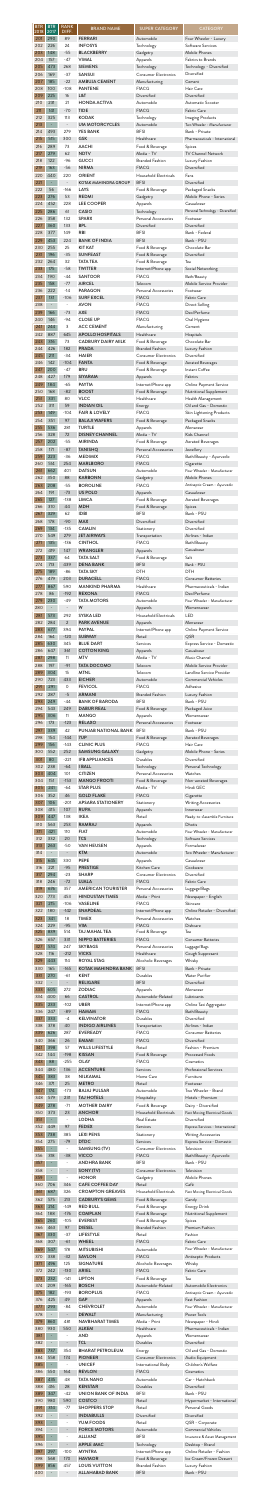| <b>BTR</b><br>2018<br>201 | <b>BTR</b><br>2017<br>290       | <b>RANK</b><br>DIFF.<br>89      | <b>BRAND NAME</b><br><b>FERRARI</b>                     | <b>SUPER CATEGORY</b><br>Automobile                   | <b>CATEGORY</b><br>Four Wheeler - Luxury                                    |
|---------------------------|---------------------------------|---------------------------------|---------------------------------------------------------|-------------------------------------------------------|-----------------------------------------------------------------------------|
| 202                       | 226                             | 24                              | <b>INFOSYS</b>                                          | Technology                                            | Software Services                                                           |
| 203                       | 148                             | $-55$                           | <b>BLACKBERRY</b>                                       | Gadgetry                                              | Mobile Phones                                                               |
| 204<br>205                | 157<br>473                      | $-47$<br>268                    | <b>VIMAL</b><br><b>SIEMENS</b>                          | Apparels<br>Technology<br><b>Consumer Electronics</b> | Fabrics to Brands<br>Technology - Diversified                               |
| 206<br>207<br>208         | 169<br>185<br>100               | $-37$<br>$-22$<br>$-108$        | <b>SANSUI</b><br><b>AMBUJA CEMENT</b><br><b>PANTENE</b> | Manufacturing<br><b>FMCG</b>                          | Diversified<br>Cement<br>Hair Care                                          |
| 209                       | 225                             | 16                              | L&T                                                     | Diversified                                           | Diversified                                                                 |
| 210                       | 231                             | 21                              | <b>HONDA ACTIVA</b>                                     | Automobile                                            | Automatic Scooter                                                           |
| 211                       | 141                             | $-70$                           | <b>TIDE</b>                                             | <b>FMCG</b>                                           | Fabric Care                                                                 |
| 212                       | 325                             | 113                             | <b>KODAK</b>                                            | Technology                                            | <b>Imaging Products</b>                                                     |
| 213                       | $\blacksquare$                  | $\overline{\phantom{a}}$        | <b>UM MOTORCYCLES</b>                                   | Automobile                                            | Two Wheeler - Manufacturer                                                  |
| 214                       | 493                             | 279                             | <b>YES BANK</b>                                         | <b>BFSI</b>                                           | Bank - Private                                                              |
| 215                       | 515                             | 300                             | <b>GSK</b>                                              | Healthcare                                            | Pharmaceuticals - International                                             |
| 216                       | 289                             | 73                              | <b>AACHI</b>                                            | Food & Beverage                                       | Spices                                                                      |
| 217                       | 279                             | 62                              | <b>NDTV</b>                                             | Media - TV                                            | <b>TV Channel Network</b>                                                   |
| 218                       | 122                             | $-96$                           | <b>GUCCI</b>                                            | <b>Branded Fashion</b>                                | Luxury Fashion                                                              |
| 219                       | 163                             | $-56$                           | <b>NIRMA</b>                                            | <b>FMCG</b>                                           | Diversified                                                                 |
| 220                       | 440                             | 220                             | <b>ORIENT</b>                                           | Household Electricals                                 | Fans                                                                        |
| 221                       | ÷,                              | $\overline{\phantom{a}}$        | <b>KOTAK MAHINDRA GROUP</b>                             | <b>BFSI</b>                                           | Diversified                                                                 |
| 222<br>223<br>224         | 56<br>276<br>452                | $-166$<br>53<br>228             | LAYS<br><b>REDMI</b><br><b>LEE COOPER</b>               | Food & Beverage<br>Gadgetry                           | Packaged Snacks<br>Mobile Phone - Series<br>Casualwear                      |
| 225<br>226                | 286<br>358                      | 61<br>132                       | <b>CASIO</b><br><b>SPARX</b>                            | Apparels<br>Technology<br>Personal Accessories        | Personal Technology - Diversified<br>Footwear                               |
| 227                       | 360                             | 133                             | <b>BPL</b>                                              | Diversified                                           | Diversified                                                                 |
| 228                       | 377                             | 149                             | <b>RBI</b>                                              | <b>BFSI</b>                                           | Bank - Federal                                                              |
| 229                       | 453                             | 224                             | <b>BANK OF INDIA</b>                                    | <b>BFSI</b>                                           | Bank - PSU                                                                  |
| 230                       | 255                             | 25                              | <b>KIT KAT</b>                                          | Food & Beverage                                       | Chocolate Bar                                                               |
| 231                       | 196                             | $-35$                           | <b>SUNFEAST</b>                                         | Food & Beverage                                       | Diversified                                                                 |
| 232                       | 264                             | 32                              | <b>TATA TEA</b>                                         | Food & Beverage                                       | Tea                                                                         |
| 233                       | 175                             | $-58$                           | <b>TWITTER</b>                                          | Internet/Phone app                                    | Social Networking                                                           |
| 234                       | 190                             | -44                             | <b>SANTOOR</b>                                          | <b>FMCG</b>                                           | Bath/Beauty                                                                 |
| 235                       | 158                             | $-77$                           | <b>AIRCEL</b>                                           | Telecom                                               | Mobile Service Provider                                                     |
| 236                       | 222                             | $-14$                           | <b>PARAGON</b>                                          | Personal Accessories                                  | Footwear                                                                    |
| 237                       | 131                             | $-106$                          | <b>SURF EXCEL</b>                                       | <b>FMCG</b>                                           | Fabric Care                                                                 |
| 238<br>239<br>240         | $\qquad \qquad -$<br>166<br>146 | $-73$<br>-94                    | <b>AVON</b><br><b>AXE</b><br><b>CLOSE UP</b>            | <b>FMCG</b><br><b>FMCG</b><br><b>FMCG</b>             | Direct Selling<br>Deo/Perfume<br>Oral Hygiene                               |
| 241                       | 244                             | 3                               | <b>ACC CEMENT</b>                                       | Manufacturing                                         | Cement                                                                      |
| 242                       | 887                             | 645                             | <b>APOLLO HOSPITALS</b>                                 | Healthcare                                            | Hospitals                                                                   |
| 243                       | 316                             | 73                              | <b>CADBURY DAIRY MILK</b>                               | Food & Beverage                                       | Chocolate Bar                                                               |
| 244                       | 426                             | 182                             | <b>PRADA</b>                                            | <b>Branded Fashion</b>                                | Luxury Fashion                                                              |
| 245<br>246<br>247         | 211<br>142<br>200               | $-34$<br>$-104$<br>$-47$        | <b>HAIER</b><br><b>FANTA</b><br><b>BRU</b>              | <b>Consumer Electronics</b><br>Food & Beverage        | Diversified<br>Aerated Beverages<br>Instant Coffee                          |
| 248<br>249                | 427<br>184                      | 179<br>$-65$                    | <b>SIYARAM</b><br><b>PAYTM</b>                          | Food & Beverage<br>Apparels<br>Internet/Phone app     | Fabrics<br>Online Payment Service                                           |
| 250                       | 168                             | $-82$                           | <b>BOOST</b>                                            | Food & Beverage                                       | Nutritional Supplement                                                      |
| 251                       | 331                             | 80                              | <b>VLCC</b>                                             | Healthcare                                            | Health Management                                                           |
| 252                       | 311                             | 59                              | <b>INDIAN OIL</b>                                       | Energy                                                | Oil and Gas - Domestic                                                      |
| 253                       | 149                             | $-104$                          | <b>FAIR &amp; LOVELY</b>                                | <b>FMCG</b>                                           | Skin Lightening Products                                                    |
| 254                       | 351                             | 97                              | <b>BALAJI WAFERS</b>                                    | Food & Beverage                                       | Packaged Snacks                                                             |
| 255                       | 536                             | 281                             | <b>TURTLE</b>                                           | Apparels                                              | Menswear                                                                    |
| 256                       | 328                             | 72                              | <b>DISNEY CHANNEL</b>                                   | Media - TV                                            | Kids Channel                                                                |
| 257                       | 202                             | $-55$                           | <b>MIRINDA</b>                                          | Food & Beverage                                       | <b>Aerated Beverages</b>                                                    |
| 258                       | 171                             | $-87$                           | <b>TANISHQ</b>                                          | Personal Accessories                                  | Jewellery                                                                   |
| 259                       | 223                             | $-36$                           | <b>MEDIMIX</b>                                          | <b>FMCG</b>                                           | Bath/Beauty - Ayurvedic                                                     |
| 260                       | 514                             | 254                             | <b>MARLBORO</b>                                         | <b>FMCG</b>                                           | Cigarette                                                                   |
| 261                       | 662                             | 401                             | <b>DATSUN</b>                                           | Automobile                                            | Four Wheeler - Manufacturer                                                 |
| 262                       | 350                             | 88                              | <b>KARBONN</b>                                          | Gadgetry                                              | Mobile Phones                                                               |
| 263                       | 208                             | $-55$                           | <b>BOROLINE</b>                                         | <b>FMCG</b>                                           | Antiseptic Cream - Ayurvedic                                                |
| 264                       | 191                             | $-73$                           | US POLO                                                 | Apparels                                              | Casualwear                                                                  |
| 265                       | 127                             | $-138$                          | <b>LIMCA</b>                                            | Food & Beverage                                       | <b>Aerated Beverages</b>                                                    |
| 266                       | 310                             | 44                              | <b>MDH</b>                                              | Food & Beverage                                       | Spices                                                                      |
| 267                       | 329                             | 62                              | <b>IDBI</b>                                             | <b>BFSI</b>                                           | Bank - PSU                                                                  |
| 268                       | 178                             | $-90$                           | <b>MAX</b>                                              | Diversified                                           | Diversified                                                                 |
| 269                       | 134                             | $-135$                          | <b>CAMLIN</b>                                           | Stationery                                            | Diversified                                                                 |
| 270                       | 549                             | 279                             | <b>JET AIRWAYS</b>                                      | Transportation                                        | Airlines - Indian                                                           |
| 271                       | 135                             | $-136$                          | <b>CINTHOL</b>                                          | <b>FMCG</b>                                           | Bath/Beauty                                                                 |
| 272                       | 419                             | 147                             | <b>WRANGLER</b>                                         | Apparels                                              | Casualwear                                                                  |
| 273                       | 337                             | 64                              | <b>TATA SALT</b>                                        | Food & Beverage                                       | Salt                                                                        |
| 274                       | 713                             | 439                             | <b>DENA BANK</b>                                        | <b>BFSI</b>                                           | Bank - PSU                                                                  |
| 275                       | 189                             | $-86$                           | <b>TATA SKY</b>                                         | <b>DTH</b>                                            | <b>DTH</b>                                                                  |
| 276                       | 479                             | 203                             | <b>DURACELL</b>                                         | <b>FMCG</b>                                           | Consumer Batteries                                                          |
| 277                       | 867                             | 590                             | <b>MANKIND PHARMA</b>                                   | Healthcare                                            | Pharmaceuticals - Indian                                                    |
| 278                       | 86                              | $-192$                          | <b>REXONA</b>                                           | <b>FMCG</b>                                           | Deo/Perfume                                                                 |
| 279                       | 230                             | $-49$                           | <b>TATA MOTORS</b>                                      | Automobile                                            | Four Wheeler - Manufacturer                                                 |
| 280                       | $\overline{\phantom{0}}$        | $\overline{\phantom{a}}$        | W                                                       | Apparels                                              | Womenswear                                                                  |
| 281                       | 573                             | 292                             | <b>SYSKA LED</b>                                        | Household Electricals                                 | <b>LED</b>                                                                  |
| 282                       | 284                             | $\overline{2}$                  | <b>PARK AVENUE</b>                                      | Apparels                                              | Menswear                                                                    |
| 283                       | 677                             | 394                             | <b>PAYPAL</b>                                           | Internet/Phone app                                    | Online Payment Service                                                      |
| 284                       | 164                             | $-120$                          | <b>SUBWAY</b>                                           | Retail                                                | QSR                                                                         |
| 285                       | 630                             | 345                             | <b>BLUE DART</b>                                        | Services                                              | Express Service - Domestic                                                  |
| 286                       | 647                             | 361                             | <b>COTTON KING</b>                                      | Apparels                                              | Casualwear                                                                  |
| 287                       | 298                             | 11                              | <b>MTV</b>                                              | Media - TV                                            | Music Channel                                                               |
| 288                       | 197                             | $-91$                           | <b>TATA DOCOMO</b>                                      | Telecom                                               | Mobile Service Provider                                                     |
| 289                       | 304                             | 15                              | <b>MTNL</b>                                             | Telecom                                               | Landline Service Provider                                                   |
| 290                       | 723                             | 433                             | <b>EICHER</b>                                           | Automobile                                            | <b>Commercial Vehicles</b>                                                  |
| 291                       | 291                             | 0                               | <b>FEVICOL</b>                                          | <b>FMCG</b>                                           | Adhesive                                                                    |
| 292                       | 287                             | $-5$                            | <b>ARMANI</b>                                           | <b>Branded Fashion</b>                                | Luxury Fashion                                                              |
| 293                       | 249                             | $-44$                           | <b>BANK OF BARODA</b>                                   | <b>BFSI</b>                                           | Bank - PSU                                                                  |
| 294                       | 543                             | 249                             | <b>DABUR REAL</b>                                       | Food & Beverage                                       | Packaged Juice                                                              |
| 295                       | 306                             | 11                              | <b>MANGO</b>                                            | Apparels                                              | Womenswear                                                                  |
| 296                       | 173                             | $-123$                          | <b>RELAXO</b>                                           | Personal Accessories                                  | Footwear                                                                    |
| 297                       | 339                             | 42                              | PUNJAB NATIONAL BANK                                    | <b>BFSI</b>                                           | Bank - PSU                                                                  |
| 298                       | 154                             | $-144$                          | 7UP                                                     | Food & Beverage                                       | <b>Aerated Beverages</b>                                                    |
| 299                       | 156                             | $-143$                          | <b>CLINIC PLUS</b>                                      | <b>FMCG</b>                                           | Hair Care                                                                   |
| 300                       | 552                             | 252                             | <b>SAMSUNG GALAXY</b>                                   | Gadgetry                                              | Mobile Phone - Series                                                       |
| 301                       | 80                              | $-221$                          | <b>IFB APPLIANCES</b>                                   | Durables                                              | Diversified                                                                 |
| 302                       | 238                             | $-64$                           | <b>I BALL</b>                                           | Technology                                            | Personal Technology                                                         |
| 303                       | 404                             | 101                             | <b>CITIZEN</b>                                          | Personal Accessories                                  | Watches                                                                     |
| 304                       | 151                             | $-153$                          | <b>MANGO FROOTI</b>                                     | Food & Beverage                                       | Non-aerated Beverages                                                       |
| 305                       | 241                             | $-64$                           | <b>STAR PLUS</b>                                        | Media - TV                                            | Hindi GEC                                                                   |
| 306                       | 352                             | 46                              | <b>GOLD FLAKE</b>                                       | <b>FMCG</b>                                           | Cigarette                                                                   |
| 307                       | 106                             | $-201$                          | <b>APSARA STATIONERY</b>                                | Stationery                                            | <b>Writing Accessories</b>                                                  |
| 308                       | 415                             | 107                             | <b>RUPA</b>                                             | Apparels                                              | Innerwear                                                                   |
| 309<br>310                | 447<br>563<br>421               | 138<br>253<br>110               | <b>IKEA</b><br><b>RAMRAJ</b><br><b>FIAT</b>             | Retail<br>Apparels<br>Automobile                      | Ready-to-Assemble Furniture<br><b>Dhotis</b><br>Four Wheeler - Manufacturer |
| 311<br>312<br>313         | 332<br>263                      | 20<br>$-50$                     | <b>TCS</b><br><b>VAN HEUSEN</b>                         | Technology<br>Apparels                                | Software Services<br>Formalwear                                             |
| 314<br>315                | 645                             | 330                             | <b>KTM</b><br><b>PEPE</b>                               | Automobile<br>Apparels                                | Two Wheeler - Manufacturer<br>Casualwear                                    |
| 316<br>317                | 221<br>294                      | $-95$<br>$-23$                  | <b>PRESTIGE</b><br><b>SHARP</b><br><b>UJALA</b>         | Kitchen Care<br><b>Consumer Electronics</b>           | Cookware<br>Diversified<br>Fabric Care                                      |
| 318<br>319<br>320         | 246<br>676<br>773               | $-72$<br>357<br>453             | <b>AMERICAN TOURISTER</b><br><b>HINDUSTAN TIMES</b>     | <b>FMCG</b><br>Personal Accessories<br>Media - Print  | Luggage/Bags<br>Newspaper - English                                         |
| 321                       | 215                             | $-106$                          | <b>VASELINE</b>                                         | <b>FMCG</b>                                           | Skincare                                                                    |
| 322                       | 180                             | $-142$                          | <b>SNAPDEAL</b>                                         | Internet/Phone app                                    | Online Retailer - Diversified                                               |
| 323                       | 341                             | 18                              | <b>TIMEX</b>                                            | Personal Accessories                                  | Watches                                                                     |
| 324                       | 229                             | $-95$                           | <b>VIM</b>                                              | <b>FMCG</b>                                           | Dishcare                                                                    |
| 325                       | 839                             | 514                             | <b>TAJ MAHAL TEA</b>                                    | Food & Beverage                                       | Tea                                                                         |
| 326                       | 657                             | 331                             | <b>NIPPO BATTERIES</b>                                  | <b>FMCG</b>                                           | <b>Consumer Batteries</b>                                                   |
| 327                       | 574                             | 247                             | <b>SKYBAGS</b>                                          | Personal Accessories                                  | Luggage/Bags                                                                |
| 328                       | 116                             | $-212$                          | <b>VICKS</b>                                            | Healthcare                                            | Cough Suppresant                                                            |
| 329                       | 443                             | 114                             | <b>ROYAL STAG</b>                                       | Alcoholic Beverages                                   | Whisky                                                                      |
| 330                       | 165                             | $-165$                          | <b>KOTAK MAHINDRA BANK</b>                              | <b>BFSI</b>                                           | Bank - Private                                                              |
| 331                       | 270                             | $-61$                           | <b>KENT</b>                                             | Durables                                              | Water Purifier                                                              |
| 332<br>333                | $\overline{\phantom{m}}$<br>605 | $\overline{\phantom{a}}$<br>272 | <b>RELIGARE</b><br><b>ZODIAC</b>                        | <b>BFSI</b><br>Apparels<br>Automobile-Related         | Diversified<br>Menswear                                                     |
| 334<br>335<br>336         | 400<br>233<br>247               | 66<br>$-102$<br>$-89$           | <b>CASTROL</b><br><b>UBER</b><br><b>HAMAM</b>           | Internet/Phone app<br><b>FMCG</b>                     | Lubricants<br>Online Taxi Aggregator<br>Bath/Beauty                         |
| 337                       | 333                             | $-4$                            | <b>KELVINATOR</b>                                       | Durables                                              | Diversified                                                                 |
| 338                       | 378                             | 40                              | <b>INDIGO AIRLINES</b>                                  | Transportation                                        | Airlines - Indian                                                           |
| 339                       | 626                             | 287                             | <b>EVEREADY</b>                                         | <b>FMCG</b>                                           | Consumer Batteries                                                          |
| 340                       | 366                             | 26                              | <b>EMAMI</b>                                            | <b>FMCG</b>                                           | Diversified                                                                 |
| 341                       | 398                             | 57                              | WILLS LIFESTYLE                                         | Retail                                                | Fashion - Premium                                                           |
| 342                       | 144                             | $-198$                          | <b>KISSAN</b>                                           | Food & Beverage                                       | <b>Processed Foods</b>                                                      |
| 343                       | 88                              | $-255$                          | <b>OLAY</b>                                             | <b>FMCG</b>                                           | Cosmetics                                                                   |
| 344                       | 480                             | 136                             | <b>ACCENTURE</b>                                        | Services                                              | Professional Services                                                       |
| 345                       | 383                             | 38                              | NILKAMAL                                                | Home Care                                             | Furniture                                                                   |
| 346                       | 371                             | 25                              | <b>METRO</b>                                            | Retail                                                | Footwear                                                                    |
| 347                       | 174                             | $-173$                          | <b>BAJAJ PULSAR</b>                                     | Automobile                                            | Two Wheeler - Brand                                                         |
| 348                       | 579                             | 231                             | <b>TAJ HOTELS</b>                                       | Hospitality                                           | Hotels - Premium                                                            |
| 349                       | 278                             | $-71$                           | <b>MOTHER DAIRY</b>                                     | Food & Beverage                                       | Dairy - Diversified                                                         |
| 350                       | 373                             | 23                              | <b>ANCHOR</b>                                           | <b>Household Electricals</b>                          | Fast Moving Electrical Goods                                                |
| 351                       | $\overline{\phantom{a}}$        | $\overline{\phantom{a}}$        | <b>LODHA</b>                                            | Real Estate                                           | Diversified                                                                 |
| 352                       | 449                             | 97                              | <b>FEDEX</b>                                            | Services                                              | Express Services - International                                            |
| 353<br>354<br>355         | 738<br>275<br>÷                 | 385<br>$-79$                    | <b>LEXI PENS</b><br><b>DTDC</b><br>SAMSUNG (TV)         | Stationery<br>Services<br><b>Consumer Electronics</b> | <b>Writing Accessories</b><br>Express Service - Domestic<br>Television      |
| 356                       | 318                             | $-38$                           | <b>VICCO</b>                                            | <b>FMCG</b>                                           | Bath/Beauty - Ayurvedic                                                     |
| 357                       | ÷                               | $\overline{\phantom{a}}$        | <b>ANDHRA BANK</b>                                      | <b>BFSI</b>                                           | Bank - PSU                                                                  |
| 358                       | $\qquad \qquad -$               | $\qquad \qquad \blacksquare$    | SONY (TV)                                               | <b>Consumer Electronics</b>                           | Television                                                                  |
| 359                       | $\overline{\phantom{a}}$        |                                 | <b>HONOR</b>                                            | Gadgetry                                              | Mobile Phones                                                               |
| 360                       | 706                             | 346                             | <b>CAFE COFFEE DAY</b>                                  | Retail                                                | Café                                                                        |
| 361                       | 687                             | 326                             | <b>CROMPTON GREAVES</b>                                 | Household Electricals                                 | Fast Moving Electrical Goods                                                |
| 362                       | 575                             | 213                             | <b>CADBURY'S GEMS</b>                                   | Food & Beverage                                       | Candy                                                                       |
| 363                       | 214                             | $-149$                          | <b>RED BULL</b>                                         | Food & Beverage                                       | Energy Drink                                                                |
| 364                       | 188                             | $-176$                          | <b>COMPLAN</b>                                          | Food & Beverage                                       | Nutritional Supplement                                                      |
| 365                       | 260                             | $-105$                          | <b>EVEREST</b>                                          | Food & Beverage                                       | Spices                                                                      |
| 366                       | 463                             | 97                              | <b>DIESEL</b>                                           | <b>Branded Fashion</b>                                | Premium Fashion                                                             |
| 367                       | 330                             | $-37$                           | <b>LIFESTYLE</b>                                        | Retail                                                | Fashion                                                                     |
| 368                       | 307                             | $-61$                           | <b>WHEEL</b>                                            | <b>FMCG</b>                                           | Fabric Care                                                                 |
| 369                       | 547                             | 178                             | <b>MITSUBISHI</b>                                       | Automobile                                            | Four Wheeler - Manufacturer                                                 |
| 370                       | 338                             | $-32$                           | <b>SAVLON</b>                                           | <b>FMCG</b>                                           | Antiseptic Products                                                         |
| 371                       | 496                             | 125                             | <b>SIGNATURE</b>                                        | Alcoholic Beverages                                   | Whisky                                                                      |
| 372                       | 242                             | $-130$                          | <b>ARIEL</b>                                            | <b>FMCG</b>                                           | Fabric Care                                                                 |
| 373                       | 232                             | $-141$                          | <b>LIPTON</b>                                           | Food & Beverage                                       | Tea                                                                         |
| 374                       | 209                             | $-165$                          | <b>BOSCH</b>                                            | Automobile-Related                                    | Automobile Electronics                                                      |
| 375                       | 182                             | $-193$                          | <b>BOROPLUS</b>                                         | <b>FMCG</b>                                           | Antiseptic Cream - Ayurvedic                                                |
| 376<br>377<br>378         | 425<br>293                      | 49<br>$-84$<br>$\Box$           | <b>GAP</b><br><b>CHEVROLET</b><br><b>DEWALT</b>         | Apparels<br>Automobile                                | Fast Fashion<br>Four Wheeler - Manufacturer<br>Power Tools                  |
| 379<br>380                | 860<br>930                      | 481<br>550                      | <b>NAVBHARAT TIMES</b><br><b>ALKEM</b>                  | Manufacturing<br>Media - Print<br>Healthcare          | Newspaper - Hindi<br>Pharmaceuticals - Indian                               |
| 381                       | $\Box$                          | $\qquad \qquad -$               | <b>AND</b>                                              | Apparels                                              | Womenswear                                                                  |
| 382                       | $\qquad \qquad \blacksquare$    | $\overline{\phantom{a}}$        | <b>TCL</b>                                              | Durables                                              | Diversified                                                                 |
| 383                       | 737                             | 354                             | <b>BHARAT PETROLEUM</b>                                 | Energy                                                | Oil and Gas - Domestic                                                      |
| 384                       | 558                             | 174                             | <b>PIONEER</b>                                          | <b>Consumer Electronics</b>                           | Audio Equipment                                                             |
| 385                       | $\overline{\phantom{a}}$        | $\overline{\phantom{a}}$        | <b>UNICEF</b>                                           | International Body                                    | Children's Welfare                                                          |
| 386                       | 550                             | 164                             | <b>REVLON</b>                                           | <b>FMCG</b>                                           | Cosmetics                                                                   |
| 387                       | 435                             | 48                              | <b>TATA NANO</b>                                        | Automobile                                            | Car - Hatchback                                                             |
| 388                       | 416                             | 28                              | <b>KENSTAR</b>                                          | Durables                                              | Diversified                                                                 |
| 389                       | 347                             | $-42$                           | <b>UNION BANK OF INDIA</b>                              | <b>BFSI</b>                                           | Bank - PSU                                                                  |
| 390                       | 980                             | 590                             | COSTCO                                                  | Retail                                                | Hypermarket - International                                                 |
| 391                       | 314                             | $-77$                           | <b>SHOPPERS STOP</b>                                    | Retail                                                | Personal Goods                                                              |
| 392                       | $\blacksquare$                  | $\frac{1}{2}$                   | <b>INDIABULLS</b>                                       | Diversified                                           | Diversified                                                                 |
| 393                       |                                 | $\overline{\phantom{a}}$        | YUM FOODS                                               | Retail                                                | QSR - Corporate                                                             |
| 394                       |                                 | $\qquad \qquad -$               | <b>FORCE MOTORS</b>                                     | Automobile                                            | <b>Commercial Vehicles</b>                                                  |
| 395                       | ÷                               | $\overline{\phantom{a}}$        | <b>ALLIANZ</b>                                          | <b>BFSI</b>                                           | Insurance & Asset Management                                                |
| 396                       |                                 | $\overline{\phantom{a}}$        | <b>APPLE IMAC</b>                                       | Technology                                            | Desktop - Brand                                                             |
| 397                       | 297                             | $-100$                          | <b>MYNTRA</b>                                           | Internet/Phone app                                    | Online Retailer - Fashion                                                   |
| 398                       | 568                             | 170                             | <b>HAVMOR</b>                                           | Food & Beverage                                       | Ice Cream/Frozen Dessert                                                    |
| 399                       | 856                             | 457                             | <b>LOUIS VUITTON</b>                                    | <b>Branded Fashion</b>                                | Luxury Fashion                                                              |
| 400                       |                                 | $\frac{1}{2}$                   | <b>ALLAHABAD BANK</b>                                   | <b>BFSI</b>                                           | Bank - PSU                                                                  |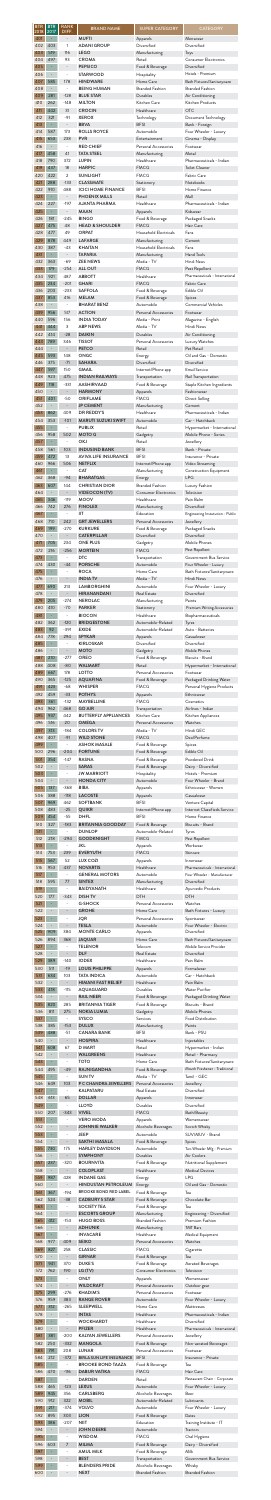| <b>BTR</b><br>$\overline{2018}$ | <b>BTR</b><br>2017       | <b>RANK</b><br>DIFF.                        | <b>BRAND NAME</b>                                   | <b>SUPER CATEGORY</b>                         | <b>CATEGORY</b>                                      |
|---------------------------------|--------------------------|---------------------------------------------|-----------------------------------------------------|-----------------------------------------------|------------------------------------------------------|
| 401                             | $\overline{\phantom{a}}$ | $\overline{\phantom{a}}$                    | <b>MUFTI</b>                                        | Apparels                                      | Menswear                                             |
| 402                             | 403                      | 1                                           | <b>ADANI GROUP</b>                                  | Diversified                                   | Diversified                                          |
| 403                             | 519                      | 116                                         | <b>LEGO</b>                                         | Manufacturing                                 | Toys                                                 |
| 404                             | 497                      | 93                                          | <b>CROMA</b>                                        | Retail                                        | <b>Consumer Electronics</b>                          |
| 405                             | $\overline{\phantom{a}}$ | $\overline{\phantom{a}}$                    | <b>PEPSICO</b>                                      | Food & Beverage                               | Diversified                                          |
| 406                             | 585                      | $\overline{\phantom{a}}$                    | <b>STARWOOD</b>                                     | Hospitality                                   | Hotels - Premium                                     |
| 407                             |                          | 178                                         | <b>HINDWARE</b>                                     | Home Care                                     | Bath Fixtures/Sanitaryware                           |
| 408                             | $\overline{\phantom{a}}$ | $-128$                                      | <b>BEING HUMAN</b>                                  | <b>Branded Fashion</b>                        | <b>Branded Fashion</b>                               |
| 409                             | 281                      |                                             | <b>BLUE STAR</b>                                    | Durables                                      | Air Conditioning                                     |
| 410                             | 262                      | $-148$<br>31                                | <b>MILTON</b><br><b>CROCIN</b>                      | Kitchen Care                                  | Kitchen Products<br><b>OTC</b>                       |
| 411<br>412                      | 442<br>321               | $-91$                                       | <b>XEROX</b><br><b>BBVA</b>                         | Healthcare<br>Technology<br><b>BFSI</b>       | Document Technology                                  |
| 413<br>414                      | $\blacksquare$<br>587    | $\overline{\phantom{a}}$<br>173             | <b>ROLLS ROYCE</b>                                  | Automobile                                    | Bank - Foreign<br>Four Wheeler - Luxury              |
| 415                             | 653                      | 238                                         | <b>PVR</b>                                          | Entertainment                                 | Cinema - Display                                     |
| 416                             | $\overline{\phantom{0}}$ |                                             | <b>RED CHIEF</b>                                    | Personal Accessories                          | Footwear                                             |
| 417                             | 458                      | 41                                          | <b>TATA STEEL</b>                                   | Manufacturing                                 | Metal                                                |
| 418                             | 790                      | 372                                         | <b>LUPIN</b>                                        | Healthcare                                    | Pharmaceuticals - Indian                             |
| 419                             | 437                      | 18                                          | <b>HARPIC</b>                                       | <b>FMCG</b>                                   | <b>Toilet Cleaner</b>                                |
| 420                             | 422                      | $\overline{2}$                              | <b>SUNLIGHT</b>                                     | <b>FMCG</b>                                   | Fabric Care                                          |
| 421                             | 288                      | $-133$                                      | <b>CLASSMATE</b>                                    | Stationery                                    | Notebooks                                            |
| 422                             | 910                      | 488                                         | <b>ICICI HOME FINANCE</b>                           | <b>BFSI</b>                                   | Home Finance                                         |
| 423                             | $\blacksquare$           | $\overline{\phantom{a}}$                    | <b>PHOENIX MILLS</b>                                | Retail                                        | Mall                                                 |
| 424                             | 227                      | $-197$                                      | <b>AJANTA PHARMA</b>                                | Healthcare                                    | Pharmaceuticals - Indian                             |
| 425                             | $\overline{\phantom{a}}$ | $\overline{\phantom{a}}$                    | <b>MAAN</b>                                         | Apparels                                      | Kidswear                                             |
| 426                             | 181                      | $-245$                                      | <b>BINGO</b>                                        | Food & Beverage                               | Packaged Snacks                                      |
| 427                             | 475                      | 48                                          | <b>HEAD &amp; SHOULDER</b>                          | <b>FMCG</b>                                   | Hair Care                                            |
| 428                             | 477                      | 49                                          | <b>ORPAT</b>                                        | Household Electricals                         | Fans                                                 |
| 429                             | 878                      | 449                                         | <b>LAFARGE</b>                                      | Manufacturing                                 | Cement                                               |
| 430                             | 387                      | $-43$                                       | <b>KHAITAN</b>                                      | Household Electricals                         | Fans                                                 |
| 431                             | $\blacksquare$           | $\blacksquare$                              | <b>TAPARIA</b>                                      | Manufacturing                                 | <b>Hand Tools</b>                                    |
| 432                             | 363                      | $-69$                                       | <b>ZEE NEWS</b>                                     | Media - TV                                    | Hindi News                                           |
| 433                             | 179                      | $-254$                                      | <b>ALL OUT</b>                                      | <b>FMCG</b>                                   | Pest Repellent                                       |
| 434                             | 921                      | 487                                         | <b>ABBOTT</b>                                       | Healthcare                                    | Pharmaceuticals - International                      |
| 435                             | 234                      | $-201$                                      | <b>GHARI</b>                                        | <b>FMCG</b>                                   | Fabric Care                                          |
| 436                             | 203                      | $-233$                                      | <b>SAFFOLA</b>                                      | Food & Beverage                               | Edible Oil                                           |
| 437<br>438                      | 853                      | 416                                         | <b>MELAM</b><br><b>BHARAT BENZ</b>                  | Food & Beverage<br>Automobile                 | Spices<br><b>Commercial Vehicles</b>                 |
| 439                             | 956                      | 517                                         | <b>ACTION</b>                                       | Personal Accessories                          | Footwear                                             |
| 440                             | 596                      | 156                                         | <b>INDIA TODAY</b>                                  | Media - Print                                 | Magazine - English                                   |
| 441                             | 444                      | 3                                           | <b>ABP NEWS</b>                                     | Media - TV                                    | Hindi News                                           |
| 442                             | 414                      | $-28$                                       | <b>DAIKIN</b>                                       | Durables                                      | Air Conditioning                                     |
| 443                             | 789                      | 346                                         | <b>TISSOT</b>                                       | Personal Accessories                          | Luxury Watches                                       |
| 444                             | ÷                        | $\overline{\phantom{a}}$                    | <b>PETCO</b>                                        | Retail                                        | Pet Retail                                           |
| 445                             | 593                      | 148                                         | <b>ONGC</b>                                         | Energy                                        | Oil and Gas - Domestic                               |
| 446                             | 375                      | $-71$                                       | <b>SAHARA</b>                                       | Diversified                                   | Diversified                                          |
| 447                             | 597                      | 150                                         | <b>GMAIL</b>                                        | Internet/Phone app                            | Email Service                                        |
| 448                             | 923                      | 475                                         | <b>INDIAN RAILWAYS</b>                              | Transportation                                | Rail Transportation                                  |
| 449                             | 118                      | $-331$                                      | <b>AASHIRVAAD</b>                                   | Food & Beverage                               | Staple Kitchen Ingredients                           |
| 450                             |                          | $\overline{\phantom{a}}$                    | <b>HARMONY</b>                                      | Apparels                                      | Fashionwear                                          |
| 451                             | 401                      | $-50$                                       | <b>ORIFLAME</b>                                     | <b>FMCG</b>                                   | Direct Selling                                       |
| 452                             | $\qquad \qquad -$        | $\frac{1}{2}$                               | <b>JP CEMENT</b>                                    | Manufacturing                                 | Cement                                               |
| 453                             | 862                      | 409                                         | <b>DR REDDY'S</b>                                   | Healthcare                                    | Pharmaceuticals - Indian                             |
| 454                             | 353                      | $-101$                                      | <b>MARUTI SUZUKI SWIFT</b>                          | Automobile                                    | Car - Hatchback                                      |
| 455<br>456                      | 958                      | 502                                         | <b>PUBLIX</b><br><b>MOTO G</b>                      | Retail<br>Gadgetry                            | Hypermarket - International<br>Mobile Phone - Series |
| 457<br>458                      | 561                      | 103                                         | <b>OKJ</b><br><b>INDUSIND BANK</b>                  | Retail<br><b>BFSI</b>                         | Jewellery<br>Bank - Private                          |
| 459                             | 472                      | 13                                          | <b>AVIVA LIFE INSURANCE</b>                         | <b>BFSI</b>                                   | Insurance - Private                                  |
| 460                             | 966                      | 506                                         | <b>NETFLIX</b>                                      | Internet/Phone app                            | Video Streaming                                      |
| 461                             | $\overline{\phantom{a}}$ | $\overline{\phantom{a}}$                    | <b>CAT</b>                                          | Manufacturing                                 | <b>Construction Equipment</b>                        |
| 462                             | 368                      | $-94$                                       | <b>BHARATGAS</b>                                    | Energy                                        | <b>LPG</b>                                           |
| 463                             | 607                      | 144                                         | <b>CHRISTIAN DIOR</b>                               | <b>Branded Fashion</b>                        | Luxury Fashion                                       |
| 464                             |                          | $\overline{\phantom{a}}$                    | <b>VIDEOCON (TV)</b>                                | <b>Consumer Electronics</b>                   | Television                                           |
| 465                             | 346                      | $-119$                                      | <b>MOOV</b>                                         | Healthcare                                    | Pain Balm                                            |
| 466                             | 742                      | 276                                         | <b>FINOLEX</b>                                      | Manufacturing                                 | Diversified                                          |
| 467                             | $\blacksquare$           | $\overline{\phantom{a}}$                    | ШT                                                  | Education                                     | Engineering Instutution - Public                     |
| 468                             | 710                      | 242                                         | <b>GRT JEWELLERS</b>                                | Personal Accessories                          | Jewellery                                            |
| 469                             | 199                      | $-270$                                      | <b>KURKURE</b>                                      | Food & Beverage                               | Packaged Snacks                                      |
| 470                             | L,                       |                                             | <b>CATERPILLAR</b>                                  | Diversified                                   | Diversified                                          |
| 471                             | 705                      | 234                                         | <b>ONE PLUS</b>                                     | Gadgetry                                      | Mobile Phones                                        |
| 472                             | 216                      | $-256$                                      | <b>MORTEIN</b>                                      | <b>FMCG</b>                                   | Pest Repellent                                       |
| 473                             | ÷,                       | $-44$                                       | <b>DTC</b>                                          | Transportation                                | Government Bus Service                               |
| 474                             | 430                      |                                             | <b>PORSCHE</b>                                      | Automobile                                    | Four Wheeler - Luxury                                |
| 475<br>476                      | ÷                        | $\qquad \qquad -$                           | <b>ROCA</b><br><b>INDIATV</b>                       | Home Care<br>Media - TV                       | Bath Fixtures/Sanitaryware<br>Hindi News             |
| 477                             | 690                      | 213                                         | <b>LAMBORGHINI</b>                                  | Automobile                                    | Four Wheeler - Luxury                                |
| 478                             |                          | $\overline{\phantom{a}}$                    | <b>HIRANANDANI</b>                                  | Real Estate                                   | Diversified                                          |
| 479<br>480                      | 205<br>410               | $-274$<br>$-70$                             | <b>NEROLAC</b><br><b>PARKER</b>                     | Manufacturing                                 | Paints                                               |
| 481                             | ÷                        | $\overline{\phantom{a}}$                    | <b>BIOCON</b>                                       | Stationery<br>Healthcare                      | Premium Writing Accessories<br>Biopharmaceuticals    |
| 482<br>483<br>484               | 362<br>92<br>778         | $-120$<br>$-391$<br>294                     | <b>BRIDGESTONE</b><br><b>EXIDE</b><br><b>SPYKAR</b> | Automobile-Related<br>Automobile-Related      | Tyres<br>Auto - Batteries<br>Casualwear              |
| 485<br>486                      |                          |                                             | <b>KIRLOSKAR</b><br><b>MOTO</b>                     | Apparels<br>Diversified                       | Diversified<br>Mobile Phones                         |
| 487<br>488                      | 210<br>408               | $\overline{\phantom{0}}$<br>$-277$<br>$-80$ | <b>OREO</b><br><b>WALMART</b>                       | Gadgetry<br>Food & Beverage<br>Retail         | Biscuits - Brand                                     |
| 489                             | 667                      | 178                                         | <b>LOTTO</b>                                        | Personal Accessories                          | Hypermarket - International<br>Footwear              |
| 490                             | 365                      | $-125$                                      | <b>AQUAFINA</b>                                     | Food & Beverage                               | Packaged Drinking Water                              |
| 491                             | 423                      | $-68$                                       | <b>WHISPER</b>                                      | <b>FMCG</b>                                   | Personal Hygiene Products                            |
| 492                             | 459                      | $-33$                                       | <b>POTHYS</b>                                       | Apparels                                      | Ethnicwear                                           |
| 493                             | 361                      | $-132$                                      | <b>MAYBELLINE</b>                                   | <b>FMCG</b>                                   | Cosmetics                                            |
| 494                             | 962                      | 468                                         | <b>GO AIR</b>                                       | Transportation                                | Airlines - Indian                                    |
| 495                             | 937                      | 442                                         | <b>BUTTERFLY APPLIANCES</b>                         | Kitchen Care                                  | Kitchen Appliances                                   |
| 496                             | 516                      | 20                                          | <b>OMEGA</b>                                        | Personal Accessories                          | Watches                                              |
| 497                             | 313                      | $-184$                                      | <b>COLORS TV</b>                                    | Media - TV                                    | Hindi GEC                                            |
| 498                             | 407                      | $-91$                                       | <b>WILD STONE</b>                                   | <b>FMCG</b>                                   | Deo/Perfume                                          |
| 499                             | ÷                        | $\overline{\phantom{a}}$                    | <b>ASHOK MASALE</b>                                 | Food & Beverage                               | Spices                                               |
| 500                             | 296                      | $-204$                                      | <b>FORTUNE</b>                                      | Food & Beverage                               | Edible Oil                                           |
| 501                             | 354                      | $-147$                                      | <b>RASNA</b>                                        | Food & Beverage                               | Powdered Drink                                       |
| 502                             | $\overline{\phantom{0}}$ | $\blacksquare$                              | <b>SARAS</b>                                        | Food & Beverage                               | Dairy - Diversified                                  |
| 503                             | ÷,                       | $\overline{\phantom{a}}$                    | <b>JW MARRIOTT</b>                                  | Hospitality                                   | Hotels - Premium                                     |
| 504                             | 137                      | $\overline{\phantom{a}}$                    | <b>HONDA CITY</b>                                   | Automobile                                    | Four Wheeler - Brand                                 |
| 505                             |                          | $-368$                                      | <b>BIBA</b>                                         | Apparels                                      | Ethnicwear - Women                                   |
| 506                             | 388                      | $-118$                                      | <b>LACOSTE</b>                                      | Apparels                                      | Casualwear                                           |
| 507                             | 969                      | 462                                         | <b>SOFTBANK</b>                                     | <b>BFSI</b>                                   | Venture Capital                                      |
| 508                             | 483                      | $-25$                                       | <b>QUIKR</b>                                        | Internet/Phone app                            | Internet Classifieds Service                         |
| 509                             | 454                      | $-55$                                       | <b>DHFL</b>                                         | <b>BFSI</b>                                   | Home Finance                                         |
| 510<br>511                      | 327                      | $-183$                                      | <b>BRITANNIA GOODDAY</b><br><b>DUNLOP</b>           | Food & Beverage<br>Automobile-Related         | Biscuits - Brand<br>Tyres                            |
| 512                             | 218                      | $-294$                                      | <b>GOODKNIGHT</b>                                   | <b>FMCG</b>                                   | Pest Repellent                                       |
| 513                             |                          | $\overline{\phantom{a}}$                    | JKL                                                 | Apparels                                      | Workwear                                             |
| 514                             | 753                      | 239                                         | <b>EVERYUTH</b>                                     | <b>FMCG</b>                                   | Skincare                                             |
| 515                             | 567                      | 52                                          | <b>LUX COZI</b>                                     | Apparels                                      | Innerwear                                            |
| 516                             | 953                      | 437                                         | <b>NOVARTIS</b>                                     | Healthcare                                    | Pharmaceuticals - International                      |
| 517                             |                          | $\overline{\phantom{a}}$                    | <b>GENERAL MOTORS</b>                               | Automobile                                    | Four Wheeler - Manufacturer                          |
| 518                             | 595                      | 77                                          | <b>SINTEX</b>                                       | Manufacturing                                 | Diversified                                          |
| 519                             | ÷                        | $\overline{\phantom{a}}$                    | <b>BAIDYANATH</b>                                   | Healthcare                                    | Ayurvedic Products                                   |
| 520                             | 177                      | $-343$                                      | <b>DISHTV</b>                                       | <b>DTH</b>                                    | <b>DTH</b>                                           |
| 521                             | $\overline{a}$           |                                             | <b>G-SHOCK</b>                                      | Personal Accessories                          | Watches                                              |
| 522                             | $\overline{\phantom{0}}$ | $\overline{\phantom{a}}$                    | <b>GROHE</b>                                        | Home Care                                     | Bath Fixtures - Luxury                               |
| 523                             | ÷                        | $\overline{\phantom{a}}$                    | <b>JQR</b>                                          | Personal Accessories                          | Sportswear                                           |
| 524<br>525                      | 909                      | 384                                         | <b>TESLA</b><br><b>MONTE CARLO</b>                  | Automobile<br>Apparels                        | Four Wheeler - Electric<br>Diversified               |
| 526                             | 894                      | 368                                         | <b>JAQUAR</b>                                       | Home Care                                     | Bath Fixtures/Sanitaryware                           |
| 527                             | ÷                        | $\overline{\phantom{a}}$                    | <b>TELENOR</b>                                      | Telecom                                       | Mobile Service Provider                              |
| 528                             | $\qquad \qquad -$        | $\qquad \qquad \blacksquare$                | <b>DLF</b>                                          | <b>Real Estate</b>                            | Diversified                                          |
| 529                             | 389                      | $-140$                                      | <b>IODEX</b>                                        | Healthcare                                    | Pain Balm                                            |
| 530                             | 511                      | $-19$                                       | <b>LOUIS PHILIPPE</b>                               | Apparels                                      | Formalwear                                           |
| 531                             | 634                      | 103                                         | <b>TATA INDICA</b>                                  | Automobile                                    | Car - Hatchback                                      |
| 532                             | 418                      | $\overline{\phantom{a}}$                    | <b>HIMANI FAST RELIEF</b>                           | Healthcare                                    | Pain Balm                                            |
| 533                             |                          | $-115$                                      | <b>AQUAGUARD</b>                                    | Durables                                      | Water Purifier                                       |
| 534                             | 820                      | $\overline{\phantom{a}}$                    | <b>RAIL NEER</b>                                    | Food & Beverage                               | Packaged Drinking Water                              |
| 535                             |                          | 285                                         | <b>BRITANNIA TIGER</b>                              | Food & Beverage                               | Biscuits - Brand                                     |
| 536                             | 811                      | 275                                         | <b>NOKIA LUMIA</b>                                  | Gadgetry                                      | Mobile Phones                                        |
| 537                             | ÷,                       | $\overline{\phantom{a}}$                    | <b>SYSCO</b>                                        | Services                                      | Food Distribution                                    |
| 538                             | 385                      | $-153$                                      | <b>DULUX</b>                                        | Manufacturing                                 | Paints                                               |
| 539                             | 488                      | $-51$                                       | <b>CANARA BANK</b>                                  | <b>BFSI</b>                                   | Bank - PSU                                           |
| 540                             | 608                      | $\overline{\phantom{a}}$                    | <b>HOSPIRA</b>                                      | Healthcare                                    | Injectables                                          |
| 541                             |                          | 67                                          | <b>D MART</b>                                       | Retail                                        | Hypermarket - Indian                                 |
| 542<br>543                      | ÷,                       | $\overline{\phantom{a}}$                    | <b>WALGREENS</b><br><b>TOTO</b>                     | Healthcare<br>Home Care                       | Retail - Pharmacy<br>Bath Fixtures/Sanitaryware      |
| 544<br>545                      | 495                      | $-49$                                       | RAJNIGANDHA<br><b>SUNTV</b>                         | Food & Beverage<br>Media - TV                 | Mouth Freshener - Traditional<br>Tamil - GEC         |
| 546                             | 649                      | 103                                         | P C CHANDRA JEWELLERS                               | Personal Accessories                          | Jewellery                                            |
| 547                             | ÷                        |                                             | KALPATARU                                           | <b>Real Estate</b>                            | Diversified                                          |
| 548                             | 613                      | 65                                          | <b>DOLLAR</b>                                       | Apparels                                      | Innerwear                                            |
| 549                             | $\blacksquare$           | $\overline{\phantom{a}}$                    | <b>LLOYD</b>                                        | Durables                                      | Diversified                                          |
| 550<br>551                      | 207                      | $-343$                                      | <b>VIVEL</b><br><b>VERO MODA</b>                    | <b>FMCG</b><br>Apparels                       | Bath/Beauty<br>Womenswear                            |
| 552                             | $\overline{\phantom{0}}$ | $\qquad \qquad \blacksquare$                | <b>JOHNNIE WALKER</b>                               | Alcoholic Beverages                           | Scotch Whisky                                        |
| 553                             | ÷                        |                                             | <b>JEEP</b>                                         | Automobile                                    | SUV/MUV - Brand                                      |
| 554                             | 730                      | $\overline{\phantom{a}}$                    | <b>SAKTHI MASALA</b>                                | Food & Beverage                               | Spices                                               |
| 555                             |                          | 175                                         | <b>HARLEY DAVIDSON</b>                              | Automobile                                    | Two Wheeler Mfg - Premium                            |
| 556<br>557                      | 237                      | $-320$                                      | <b>SYMPHONY</b><br><b>BOURNVITA</b>                 | Durables<br>Food & Beverage                   | Air Coolers<br>Nutritional Supplement                |
| 558                             | 987                      | $\overline{\phantom{a}}$                    | <b>COLOPLAST</b>                                    | Healthcare                                    | <b>Medical Devices</b>                               |
| 559                             |                          | 428                                         | <b>INDANE GAS</b>                                   | Energy                                        | <b>LPG</b>                                           |
| 560                             | ÷                        | $\overline{\phantom{a}}$                    | <b>HINDUSTAN PETROLEUM</b>                          | Energy                                        | Oil and Gas - Domestic                               |
| 561                             | 367                      | $-194$                                      | <b>BROOKE BOND RED LABEL</b>                        | Food & Beverage                               | Tea                                                  |
| 562                             | 524                      | $-38$                                       | <b>CADBURY 5 STAR</b>                               | Food & Beverage                               | Chocolate Bar                                        |
| 563                             | L,                       | $\overline{\phantom{a}}$                    | <b>SOCIETY TEA</b>                                  | Food & Beverage                               | Tea                                                  |
| 564                             | 412                      | $\overline{\phantom{a}}$                    | <b>ESCORTS GROUP</b>                                | Manufacturing                                 | Engineering - Diversified                            |
| 565                             |                          | $-153$                                      | <b>HUGO BOSS</b>                                    | <b>Branded Fashion</b>                        | Premium Fashion                                      |
| 566<br>567                      | ÷                        | $\overline{\phantom{a}}$                    | <b>ADHUNIK</b><br><b>INVACARE</b>                   | Manufacturing<br>Healthcare                   | <b>TMT Bars</b><br>Medical Equipment                 |
| 568                             | 977                      | 409                                         | <b>SEIKO</b>                                        | Personal Accessories                          | Watches                                              |
| 569                             | 827                      | 258                                         | <b>CLASSIC</b>                                      | <b>FMCG</b>                                   | Cigarette                                            |
| 570<br>571                      | 941                      | 370                                         | <b>GIRNAR</b><br><b>DUKE'S</b>                      | Food & Beverage<br>Food & Beverage            | Tea<br>Aerated Beverages                             |
| 572                             | 762                      | 190                                         | LG (TV)                                             | <b>Consumer Electronics</b>                   | Television                                           |
| 573                             | $\overline{a}$           | $\blacksquare$                              | <b>ONLY</b>                                         | Apparels                                      | Womenswear                                           |
| 574                             | 299                      | $\overline{\phantom{a}}$                    | <b>WILDCRAFT</b>                                    | Personal Accessories                          | Outdoor gear                                         |
| 575                             |                          | $-276$                                      | <b>KHADIM'S</b>                                     | Personal Accessories                          | Footwear                                             |
| 576                             | 959                      | 383                                         | <b>RANGE ROVER</b>                                  | Automobile                                    | Four Wheeler - Luxury                                |
| 577                             | 312                      | $-265$                                      | <b>SLEEPWELL</b>                                    | Home Care                                     | Mattresses                                           |
| 578                             | $\overline{\phantom{0}}$ | $\overline{\phantom{a}}$                    | <b>INTAS</b>                                        | Healthcare                                    | Pharmaceuticals - Indian                             |
| 579                             | ÷                        |                                             | <b>WOCKHARDT</b>                                    | Healthcare                                    | Diversified                                          |
| 580                             | $\overline{\phantom{a}}$ | $\qquad \qquad \blacksquare$                | <b>PFIZER</b><br><b>KALYAN JEWELLERS</b>            | Healthcare                                    | Pharmaceuticals - International                      |
| 581                             | 381                      | $-200$                                      | <b>MANGOLA</b>                                      | Personal Accessories                          | Jewellery                                            |
| 582                             | 250                      | $-332$                                      |                                                     | Food & Beverage                               | Non-aerated Beverages                                |
| 583                             | 791                      | 208                                         | <b>LUNAR</b>                                        | Personal Accessories                          | Footwear                                             |
| 584                             | 212                      | $-372$                                      | <b>BIRLA SUN LIFE INSURANCE</b>                     | <b>BFSI</b>                                   | Insurance - Private                                  |
| 585                             | $\blacksquare$           | $\overline{\phantom{a}}$                    | <b>BROOKE BOND TAAZA</b>                            | Food & Beverage                               | Tea                                                  |
| 586                             | 470                      | $-116$                                      | <b>DABUR VATIKA</b>                                 | <b>FMCG</b>                                   | Hair Care                                            |
| 587                             | $\overline{\phantom{a}}$ | $\overline{\phantom{a}}$                    | <b>DARDEN</b>                                       | Retail                                        | Restaurant Chain - Corporate                         |
| 588                             | 465                      | $-123$                                      | <b>LEXUS</b>                                        | Automobile                                    | Four Wheeler - Luxury                                |
| 589                             | 945                      | 356                                         | <b>CARLSBERG</b>                                    | Alcoholic Beverages                           | Beer                                                 |
| 590                             | 912                      | 322                                         | <b>MOBIL</b>                                        | Automobile-Related                            | Lubricants                                           |
| 591                             | 217                      | $-374$                                      | <b>VOLVO</b>                                        | Automobile                                    | Four Wheeler - Luxury                                |
| 592                             | 895                      | 303                                         | <b>LION</b>                                         | Food & Beverage                               | Dates                                                |
| 593                             | 386                      | $-207$                                      | <b>NIIT</b>                                         | Education                                     | Training Institute - IT                              |
| 594                             | $\overline{a}$           | $\qquad \qquad \blacksquare$                | <b>JOHN DEERE</b>                                   | Automobile                                    | <b>Tractors</b>                                      |
| 595                             | ÷                        | 7                                           | <b>WISDOM</b>                                       | <b>FMCG</b>                                   | Oral Hygiene                                         |
| 596                             | 603                      |                                             | <b>MILMA</b>                                        | Food & Beverage                               | Dairy - Diversified                                  |
| 597<br>598                      |                          |                                             | <b>AMUL MILK</b><br><b>BEST</b>                     | Food & Beverage<br>Transportation             | Milk<br>Government Bus Service                       |
| 599<br>600                      |                          |                                             | <b>BLENDERS PRIDE</b><br><b>NEXT</b>                | Alcoholic Beverages<br><b>Branded Fashion</b> | Whisky<br><b>Branded Fashion</b>                     |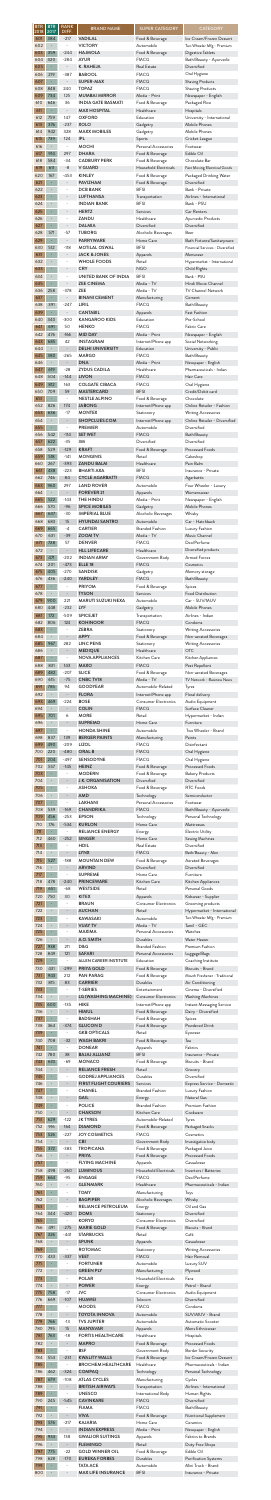| <b>BTR</b><br>2018 | <b>BTR</b><br>2017             | <b>RANK</b><br>DIFF.                   | <b>BRAND NAME</b>                                                    | <b>SUPER CATEGORY</b>                                       | <b>CATEGORY</b>                                                            |
|--------------------|--------------------------------|----------------------------------------|----------------------------------------------------------------------|-------------------------------------------------------------|----------------------------------------------------------------------------|
| 601<br>602<br>603  | 384<br>359                     | $-217$<br>$-244$                       | <b>VADILAL</b><br><b>VICTORY</b><br><b>HAJMOLA</b>                   | Food & Beverage<br>Automobile                               | Ice Cream/Frozen Dessert<br>Two Wheeler Mfg - Premium<br>Digestive Tablets |
| 604<br>605         | 320<br>$\blacksquare$          | $-284$<br>$\Box$                       | <b>AYUR</b><br><b>K. RAHEJA</b>                                      | Food & Beverage<br><b>FMCG</b><br><b>Real Estate</b>        | Bath/Beauty - Ayurvedic<br>Diversified                                     |
| 606                | 219                            | $-387$                                 | <b>BABOOL</b>                                                        | <b>FMCG</b>                                                 | Oral Hygiene                                                               |
| 607                | ÷                              |                                        | SUPER-MAX                                                            | <b>FMCG</b>                                                 | <b>Shaving Products</b>                                                    |
| 608                | 848                            | 240                                    | <b>TOPAZ</b>                                                         | <b>FMCG</b>                                                 | Shaving Products                                                           |
| 609                | 734                            | 125                                    | <b>MUMBAI MIRROR</b>                                                 | Media - Print                                               | Newspaper - English                                                        |
| 610                | 646                            | 36                                     | <b>INDIA GATE BASMATI</b>                                            | Food & Beverage                                             | Packaged Rice                                                              |
| 611                | ÷                              | $\blacksquare$                         | <b>MAX HOSPITAL</b>                                                  | Healthcare                                                  | Hospitals                                                                  |
| 612                | 759                            | 147                                    | <b>OXFORD</b>                                                        | Education                                                   | University - International                                                 |
| 613                | 376                            | $-237$                                 | <b>XOLO</b>                                                          | Gadgetry                                                    | Mobile Phones                                                              |
| 614                | 942                            | 328                                    | <b>MAXX MOBILES</b>                                                  | Gadgetry                                                    | Mobile Phones                                                              |
| 615                | 739                            | 124                                    | <b>IPL</b>                                                           | Sports                                                      | Cricket League                                                             |
| 616                | $\overline{\phantom{a}}$       | $\overline{\phantom{a}}$               | <b>MOCHI</b>                                                         | Personal Accessories                                        | Footwear                                                                   |
| 617                | 914                            | 297                                    | <b>DHARA</b>                                                         | Food & Beverage                                             | Edible Oil                                                                 |
| 618                | 584                            | $-34$                                  | <b>CADBURY PERK</b>                                                  | Food & Beverage                                             | Chocolate Bar                                                              |
| 619                | 611                            | $-8$                                   | <b>V GUARD</b>                                                       | <b>Household Electricals</b>                                | Fast Moving Electrical Goods                                               |
| 620                | 167                            | $-453$                                 | <b>KINLEY</b>                                                        | Food & Beverage                                             | Packaged Drinking Water                                                    |
| 621                | ÷,                             |                                        | <b>PAVIZHAM</b>                                                      | Food & Beverage                                             | Diversified                                                                |
| 622                | $\overline{\phantom{0}}$       | $\overline{\phantom{a}}$               | <b>DCB BANK</b>                                                      | <b>BFSI</b>                                                 | Bank - Private                                                             |
| 623                | $\blacksquare$                 | $\overline{\phantom{a}}$               | <b>LUFTHANSA</b>                                                     | Transportation                                              | Airlines - International                                                   |
| 624<br>625         | ÷                              |                                        | <b>INDIAN BANK</b><br><b>HERTZ</b>                                   | <b>BFSI</b><br>Services                                     | Bank - PSU<br>Car Renters                                                  |
| 626<br>627         |                                |                                        | ZANDU<br><b>DALMIA</b>                                               | Healthcare<br>Diversified                                   | Ayurvedic Products<br>Diversified                                          |
| 628                | 571                            | $-57$                                  | <b>TUBORG</b>                                                        | Alcoholic Beverages                                         | Beer                                                                       |
| 629                | -                              |                                        | <b>PARRYWARE</b>                                                     | Home Care                                                   | Bath Fixtures/Sanitaryware                                                 |
| 630                | 512                            | $-118$                                 | <b>MOTILAL OSWAL</b>                                                 | <b>BFSI</b>                                                 | Financial Services - Diversified                                           |
| 631                | $\overline{\phantom{a}}$       | $\overline{\phantom{a}}$               | <b>JACK &amp; JONES</b>                                              | Apparels                                                    | Menswear                                                                   |
| 632<br>633         |                                |                                        | <b>WHOLE FOODS</b><br><b>CRY</b>                                     | Retail<br><b>NGO</b>                                        | Hypermarket - International<br>Child Rights                                |
| 634<br>635         | ÷                              |                                        | <b>UNITED BANK OF INDIA</b><br><b>ZEE CINEMA</b>                     | <b>BFSI</b><br>Media - TV                                   | Bank - PSU<br>Hindi Movie Channel                                          |
| 636                | 258                            | $-378$                                 | <b>ZEE</b>                                                           | Media - TV                                                  | <b>TV Channel Network</b>                                                  |
| 637                | -                              | $\overline{\phantom{a}}$               | <b>BINANI CEMENT</b>                                                 | Manufacturing                                               | Cement                                                                     |
| 638                | 391                            | $-247$                                 | LIRIL                                                                | <b>FMCG</b>                                                 | Bath/Beauty                                                                |
| 639                | ÷                              | $\overline{\phantom{a}}$               | <b>CANTABIL</b>                                                      | Apparels                                                    | Fast Fashion                                                               |
| 640                | 340                            | $-300$                                 | <b>KANGAROO KIDS</b>                                                 | Education                                                   | Pre-School                                                                 |
| 641                | 691                            | 50                                     | <b>HENKO</b>                                                         | <b>FMCG</b>                                                 | Fabric Care                                                                |
| 642                | 476                            | $-166$                                 | <b>MID DAY</b>                                                       | Media - Print                                               | Newspaper - English                                                        |
| 643                | 685                            | 42                                     | <b>INSTAGRAM</b>                                                     | Internet/Phone app                                          | Social Networking                                                          |
| 644                |                                | $\overline{\phantom{a}}$               | <b>DELHI UNIVERSITY</b>                                              | Education                                                   | University - Public                                                        |
| 645                | 380                            | $-265$                                 | <b>MARGO</b>                                                         | <b>FMCG</b>                                                 | Bath/Beauty                                                                |
| 646                |                                | $\overline{\phantom{a}}$               | <b>DNA</b>                                                           | Media - Print                                               | Newspaper - English                                                        |
| 647                | 619                            | $-28$                                  | <b>ZYDUS CADILA</b>                                                  | Healthcare                                                  | Pharmaceuticals - Indian                                                   |
| 648                | 504                            | $-144$                                 | <b>LIVON</b>                                                         | <b>FMCG</b>                                                 | Hair Care                                                                  |
| 649                | 812                            | 163                                    | <b>COLGATE CIBACA</b>                                                | <b>FMCG</b>                                                 | Oral Hygiene                                                               |
| 650                | 709                            | 59                                     | <b>MASTERCARD</b>                                                    | <b>BFSI</b>                                                 | Credit/Debit card                                                          |
| 651<br>652         | 826                            | 174                                    | <b>NESTLE ALPINO</b><br><b>JABONG</b>                                | Food & Beverage<br>Internet/Phone app                       | Chocolate<br>Online Retailer - Fashion                                     |
| 653<br>654         | 636                            | $-17$                                  | <b>MONTEX</b><br>SHOPCLUES.COM                                       | Stationery<br>Internet/Phone app                            | <b>Writing Accessories</b><br>Online Retailer - Diversified                |
| 655<br>656         | 542                            | $-114$                                 | <b>PREMIER</b><br><b>SET WET</b>                                     | Automobile<br><b>FMCG</b>                                   | Diversified<br>Bath/Beauty                                                 |
| 657                | 622                            | $-35$                                  | 3M                                                                   | Diversified                                                 | Diversified                                                                |
| 658                | 529                            | $-129$                                 | <b>KRAFT</b>                                                         | Food & Beverage                                             | Processed Foods                                                            |
| 659                | 518                            | $-141$                                 | <b>MONGINIS</b>                                                      | Retail                                                      | Cakeshop                                                                   |
| 660                | 267                            | $-393$                                 | <b>ZANDU BALM</b>                                                    | Healthcare                                                  | Pain Balm                                                                  |
| 661                | 438                            | $-223$                                 | <b>BHARTI AXA</b>                                                    | <b>BFSI</b>                                                 | Insurance - Private                                                        |
| 662                | 746                            | 84                                     | <b>CYCLE AGARBATTI</b>                                               | <b>FMCG</b>                                                 | Agarbattis                                                                 |
| 663<br>664         | 960                            | 297                                    | <b>LAND ROVER</b><br><b>FOREVER 21</b>                               | Automobile<br>Apparels                                      | Four Wheeler - Luxury<br>Womenswear                                        |
| 665                | 522                            | $-143$                                 | THE HINDU                                                            | Media - Print                                               | Newspaper - English                                                        |
| 666                | 570                            | $-96$                                  | <b>SPICE MOBILES</b>                                                 | Gadgetry                                                    | Mobile Phones                                                              |
| 667<br>668         | 637<br>683                     | $-30$<br>15                            | <b>IMPERIAL BLUE</b><br><b>HYUNDAI SANTRO</b>                        | Alcoholic Beverages<br>Automobile<br><b>Branded Fashion</b> | Whisky<br>Car - Hatchback                                                  |
| 669<br>670<br>671  | 665<br>631<br>728              | $-4$<br>$-39$<br>57                    | <b>CARTIER</b><br><b>ZOOM TV</b><br><b>DENVER</b>                    | Media - TV<br><b>FMCG</b>                                   | Luxury Fashion<br>Music Channel<br>Deo/Perfume                             |
| 672                | $\overline{\phantom{0}}$       | $\overline{\phantom{a}}$               | <b>HLL LIFECARE</b>                                                  | Healthcare                                                  | Diversified products                                                       |
| 673                | 471                            | $-202$                                 | <b>INDIAN ARMY</b>                                                   | Government Body                                             | <b>Armed Forces</b>                                                        |
| 674                | 201                            | $-473$                                 | ELLE <sub>18</sub>                                                   | <b>FMCG</b>                                                 | Cosmetics                                                                  |
| 675                | 405                            | $-270$                                 | <b>SANDISK</b>                                                       | Gadgetry                                                    | Memory storage                                                             |
| 676                | 436                            | $-240$                                 | <b>YARDLEY</b>                                                       | <b>FMCG</b>                                                 | Bath/Beauty                                                                |
| 677                |                                | $\overline{\phantom{a}}$               | <b>PRIYOM</b>                                                        | Food & Beverage                                             | Spices                                                                     |
| 678                | 900                            | $\blacksquare$                         | <b>TYSON</b>                                                         | Services                                                    | Food Distribution                                                          |
| 679                |                                | 221                                    | <b>MARUTI SUZUKI NEXA</b>                                            | Automobile                                                  | Car - SUV/MUV                                                              |
| 680                | 448                            | $-232$                                 | <b>LYF</b>                                                           | Gadgetry                                                    | Mobile Phones                                                              |
| 681                | 172                            | $-509$                                 | <b>SPICEJET</b>                                                      | Transportation                                              | Airlines - Indian                                                          |
| 682                | 806                            | 124                                    | <b>KOHINOOR</b>                                                      | <b>FMCG</b>                                                 | Condoms                                                                    |
| 683                |                                | $\overline{\phantom{a}}$               | <b>ZEBRA</b>                                                         | Stationery                                                  | <b>Writing Accessories</b>                                                 |
| 684<br>685         | 967                            | 282                                    | <b>APPY</b><br><b>LINC PENS</b>                                      | Food & Beverage<br>Stationery                               | Non-aerated Beverages<br><b>Writing Accessories</b>                        |
| 686<br>687         | ÷,                             | $\overline{\phantom{a}}$               | <b>MEDIQUE</b><br><b>NOVA APPLIANCES</b>                             | Healthcare<br>Kitchen Care                                  | <b>OTC</b><br>Kitchen Appliances                                           |
| 688                | 831                            | 143                                    | <b>MAXO</b>                                                          | <b>FMCG</b>                                                 | Pest Repellent                                                             |
| 689                | 482                            | $-207$                                 | <b>SLICE</b>                                                         | Food & Beverage                                             | Non-aerated Beverages                                                      |
| 690                | 615                            | $-75$                                  | <b>CNBC TV18</b>                                                     | Media - TV                                                  | TV Network - Business News                                                 |
| 691                | 785                            | 94                                     | <b>GOODYEAR</b>                                                      | Automobile-Related                                          | Tyres                                                                      |
| 692<br>693         | 469                            | $-224$                                 | <b>FLORA</b><br><b>BOSE</b>                                          | Internet/Phone app<br><b>Consumer Electronics</b>           | Floral delivery<br>Audio Equipment                                         |
| 694                | 701                            | $\qquad \qquad -$                      | <b>COLIN</b>                                                         | <b>FMCG</b>                                                 | Surface Cleaner                                                            |
| 695                |                                | 6                                      | <b>MORE</b>                                                          | Retail                                                      | Hypermarket - Indian                                                       |
| 696<br>697         | ÷,                             | $\qquad \qquad -$                      | <b>SUPREMO</b><br><b>HONDA SHINE</b>                                 | Home Care<br>Automobile                                     | Furniture<br>Two Wheeler - Brand                                           |
| 698                | 837                            | 139                                    | <b>BERGER PAINTS</b>                                                 | Manufacturing                                               | Paints                                                                     |
| 699                | 490                            | $-209$                                 | <b>LIZOL</b>                                                         | <b>FMCG</b>                                                 | Disinfectant                                                               |
| 700                | 220                            | $-480$                                 | <b>ORAL B</b>                                                        | <b>FMCG</b>                                                 | Oral Hygiene                                                               |
| 701                | 204                            | $-497$                                 | <b>SENSODYNE</b>                                                     | <b>FMCG</b>                                                 | Oral Hygiene                                                               |
| 702<br>703<br>704  | 557<br>÷,                      | $-145$                                 | <b>HEINZ</b><br><b>MODERN</b><br><b>J.K. ORGANISATION</b>            | Food & Beverage<br>Food & Beverage<br>Diversified           | <b>Processed Foods</b><br><b>Bakery Products</b><br>Diversified            |
| 705<br>706         | ÷,                             | $\overline{\phantom{a}}$               | <b>ASHOKA</b><br><b>AMD</b>                                          | Food & Beverage<br>Technology                               | RTC Foods<br>Semiconductor                                                 |
| 707                | $\overline{\phantom{a}}$       | $-169$                                 | LAKHANI                                                              | Personal Accessories                                        | Footwear                                                                   |
| 708                | 539                            |                                        | <b>CHANDRIKA</b>                                                     | <b>FMCG</b>                                                 | Bath/Beauty - Ayurvedic                                                    |
| 709                | 456                            | $-253$                                 | <b>EPSON</b>                                                         | Technology                                                  | Personal Technology                                                        |
| 710                | 176                            | $-534$                                 | <b>KURLON</b>                                                        | Home Care                                                   | Mattresses                                                                 |
| 711<br>712         | 460                            | $-252$                                 | <b>RELIANCE ENERGY</b><br><b>SINGER</b>                              | Energy<br>Home Care                                         | Electric Utility<br>Sewing Machines                                        |
| 713                |                                | $\overline{\phantom{a}}$               | <b>HDIL</b>                                                          | <b>Real Estate</b>                                          | Diversified                                                                |
| 714                |                                | $\qquad \qquad \blacksquare$           | <b>LYNX</b>                                                          | <b>FMCG</b>                                                 | Bath/Beauty - Men                                                          |
| 715                | 527                            | $-188$                                 | <b>MOUNTAIN DEW</b>                                                  | Food & Beverage                                             | Aerated Beverages                                                          |
| 716                | $\qquad \qquad \blacksquare$   | $\overline{\phantom{a}}$               | <b>ARVIND</b>                                                        | Diversified                                                 | Diversified                                                                |
| 717                | ÷                              | $\overline{\phantom{a}}$               | <b>SUPREME</b>                                                       | Home Care                                                   | Furniture                                                                  |
| 718                | 478                            | $-240$                                 | <b>PRINCEWARE</b>                                                    | Kitchen Care                                                | Kitchen Appliances                                                         |
| 719                | 651                            | $-68$                                  | <b>WESTSIDE</b>                                                      | Retail                                                      | Personal Goods                                                             |
| 720                | 750                            | 30                                     | <b>KITEX</b>                                                         | Apparels                                                    | Kidswear - Supplier                                                        |
| 721<br>722         | ÷,                             | $\qquad \qquad \blacksquare$           | <b>BRAUN</b><br><b>AUCHAN</b>                                        | <b>Consumer Electronics</b><br>Retail                       | Grooming products<br>Hypermarket - International                           |
| 723                | ÷,                             | $\qquad \qquad -$                      | <b>KAWASAKI</b>                                                      | Automobile                                                  | Two Wheeler Mfg - Premium                                                  |
| 724                | $\overline{a}$                 |                                        | <b>VIJAY TV</b>                                                      | Media - TV                                                  | Tamil - GEC                                                                |
| 725<br>726         |                                | $\qquad \qquad -$                      | <b>MAXIMA</b><br>A.O. SMITH                                          | Personal Accessories<br>Durables                            | Watches<br>Water Heater                                                    |
| 727<br>728<br>729  | 938<br>849                     | 211<br>121<br>$\overline{\phantom{a}}$ | <b>D&amp;G</b><br><b>SAFARI</b><br><b>ALLEN CAREER INSTITUTE</b>     | <b>Branded Fashion</b><br>Personal Accessories              | Premium Fashion<br>Luggage/Bags                                            |
| 730<br>731         | ÷<br>431<br>943                | $-299$<br>212                          | <b>PRIYA GOLD</b><br><b>PAN PARAG</b>                                | Education<br>Food & Beverage<br>Food & Beverage             | Coaching Institute<br>Biscuits - Brand<br>Mouth Freshener - Traditional    |
| 732                | 815                            | 83                                     | <b>CARRIER</b>                                                       | Durables                                                    | Air Conditioning                                                           |
| 733                | ÷                              | $\qquad \qquad -$                      | <b>T-SERIES</b>                                                      | Entertainment                                               | Cinema - Diversified                                                       |
| 734                | 600                            | $\overline{\phantom{a}}$               | LG (WASHING MACHINE)                                                 | <b>Consumer Electronics</b>                                 | <b>Washing Machines</b>                                                    |
| 735                |                                | $-135$                                 | <b>HIKE</b>                                                          | Internet/Phone app                                          | Instant Messaging Service                                                  |
| 736<br>737         | ÷,                             | $\qquad \qquad -$                      | <b>HIMUL</b><br><b>BADSHAH</b>                                       | Food & Beverage<br>Food & Beverage                          | Dairy - Diversified<br>Spices                                              |
| 738<br>739         | 364                            | $-374$                                 | <b>GLUCON D</b><br><b>GKB OPTICALS</b>                               | Food & Beverage<br>Retail                                   | Powdered Drink<br>Eyewear                                                  |
| 740<br>741         | 708                            | $-32$                                  | <b>WAGH BAKRI</b><br><b>DONEAR</b>                                   | Food & Beverage<br>Apparels                                 | Tea<br>Fabrics                                                             |
| 742                | 780                            | 38                                     | <b>BAJAJ ALLIANZ</b>                                                 | <b>BFSI</b>                                                 | Insurance - Private                                                        |
| 743                | 674                            | $-69$                                  | <b>MONACO</b>                                                        | Food & Beverage                                             | Biscuits - Brand                                                           |
| 744<br>745         | $\overline{\phantom{0}}$       |                                        | <b>RELIANCE FRESH</b><br><b>GODREJ APPLIANCES</b>                    | Retail<br>Durables                                          | Grocery<br>Diversified                                                     |
| 746<br>747         | ÷,                             |                                        | <b>FIRST FLIGHT COURIERS</b><br><b>CHANEL</b>                        | Services<br><b>Branded Fashion</b>                          | Express Service - Domestic<br>Luxury Fashion                               |
| 748<br>749<br>750  | ÷,                             |                                        | <b>GAIL</b><br><b>POLICE</b><br><b>CHAKSON</b>                       | Energy<br><b>Branded Fashion</b><br>Kitchen Care            | Natural Gas<br>Premium Fashion<br>Cookware                                 |
| 751                | 629                            | $-122$                                 | <b>JK TYRES</b>                                                      | Automobile-Related                                          | Tyres                                                                      |
| 752                | 916                            | 164                                    | <b>DIAMOND</b>                                                       | Food & Beverage                                             | Packaged Snacks                                                            |
| 753                | 526                            | $-227$                                 | <b>JOY COSMETICS</b>                                                 | <b>FMCG</b>                                                 | Cosmetics                                                                  |
| 754                |                                | $\overline{\phantom{a}}$               | <b>CBI</b>                                                           | Government Body                                             | Investigative body                                                         |
| 755                | 372                            | $-383$                                 | <b>TROPICANA</b>                                                     | Food & Beverage                                             | Packaged Juice                                                             |
| 756                | $\overline{\phantom{0}}$       |                                        | <b>PRIYA</b>                                                         | Food & Beverage                                             | <b>Processed Foods</b>                                                     |
| 757                | $\overline{\phantom{a}}$       | $\overline{\phantom{a}}$               | <b>FLYING MACHINE</b>                                                | Apparels                                                    | Casualwear                                                                 |
| 758                | 498                            | $-260$                                 | <b>LUMINOUS</b>                                                      | Household Electricals                                       | Invertors / Batteries                                                      |
| 759<br>760         | 664                            | $-95$                                  | <b>ENGAGE</b><br><b>GLENMARK</b>                                     | <b>FMCG</b><br>Healthcare                                   | Deo/Perfume<br>Pharmaceuticals - Indian                                    |
| 761<br>762         | ÷,                             | $\overline{\phantom{a}}$               | <b>TOMY</b><br><b>BAGPIPER</b>                                       | Manufacturing<br>Alcoholic Beverages                        | Toys<br>Whisky                                                             |
| 763                | ÷                              | $\overline{\phantom{0}}$               | <b>RELIANCE PETROLEUM</b>                                            | Energy                                                      | Oil and Gas                                                                |
| 764                | 344                            | $-420$                                 | <b>DOMS</b>                                                          | Stationery                                                  | Diversified                                                                |
| 765                | $\overline{\phantom{a}}$       | $\qquad \qquad -$                      | <b>KORYO</b>                                                         | <b>Consumer Electronics</b>                                 | Diversified                                                                |
| 766                | 491                            | $-275$                                 | <b>MARIE GOLD</b>                                                    | Food & Beverage                                             | Biscuits - Brand                                                           |
| 767<br>768         | 326                            | -441                                   | <b>STARBUCKS</b><br><b>SPUNK</b>                                     | Retail<br>Apparels                                          | Café<br>Casualwear                                                         |
| 769                | 433                            | $-337$                                 | <b>ROTOMAC</b>                                                       | Stationery                                                  | Writing Accessories                                                        |
| 770                | ÷,                             |                                        | <b>VEET</b>                                                          | <b>FMCG</b>                                                 | Hair Removal                                                               |
| 771<br>772<br>773  | $\overline{\phantom{0}}$<br>÷, |                                        | <b>FORTUNER</b><br><b>GREEN PLY</b><br><b>POLAR</b>                  | Automobile<br>Manufacturing<br><b>Household Electricals</b> | Luxury SUV<br>Plywood<br>Fans                                              |
| 774                | 758                            | $\overline{\phantom{a}}$               | <b>POWER</b>                                                         | Energy                                                      | Petrol - Brand                                                             |
| 775                |                                | $-17$                                  | <b>JVC</b>                                                           | <b>Consumer Electronics</b>                                 | Audio Equipment                                                            |
| 776                | 669                            | $-107$                                 | <b>HUAWEI</b>                                                        | Telecom                                                     | Diversified                                                                |
| 777                | ÷                              | $\qquad \qquad -$                      | <b>MOODS</b>                                                         | <b>FMCG</b>                                                 | Condoms                                                                    |
| 778                | 766                            | $\overline{\phantom{a}}$               | <b>TOYOTA INNOVA</b>                                                 | Automobile                                                  | SUV/MUV - Brand                                                            |
| 779                |                                | $-13$                                  | <b>TVS JUPITER</b>                                                   | Automobile                                                  | Automatic Scooter                                                          |
| 780                | 795                            | 15                                     | <b>MANYAVAR</b>                                                      | Apparels                                                    | Mens Ethnicwear                                                            |
| 781                | 763                            | $-18$                                  | <b>FORTIS HEALTHCARE</b>                                             | Healthcare                                                  | Hospitals                                                                  |
| 782                | $\overline{\phantom{a}}$       | $\overline{\phantom{a}}$               | <b>MAPRO</b>                                                         | Food & Beverage                                             | <b>Processed Foods</b>                                                     |
| 783                | ÷                              | $\overline{\phantom{a}}$               | <b>BSF</b>                                                           | Government Body                                             | <b>Border Security</b>                                                     |
| 784                | 553                            | $-231$                                 | <b>KWALITY WALLS</b>                                                 | Food & Beverage                                             | Ice Cream/Frozen Dessert                                                   |
| 785                | ÷                              | $\qquad \qquad -$                      | <b>BROCHEM HEALTHCARE</b>                                            | Healthcare                                                  | Pharmaceuticals - Indian                                                   |
| 786                | 462                            | $-324$                                 | <b>COMPAQ</b>                                                        | Technology                                                  | Personal Technology                                                        |
| 787                | 679                            | $-108$                                 | <b>ATLAS CYCLES</b>                                                  | Manufacturing                                               | Cycles                                                                     |
| 788                | $\overline{\phantom{0}}$       | $\overline{\phantom{a}}$               | <b>BRITISH AIRWAYS</b>                                               | Transportation                                              | Airlines - International                                                   |
| 789                | ÷,                             |                                        | <b>UNESCO</b>                                                        | International Body                                          | Human Rights                                                               |
| 790                | 245                            | $-545$                                 | <b>CAVINKARE</b>                                                     | <b>FMCG</b>                                                 | Diversified                                                                |
| 791                | $\qquad \qquad -$              |                                        | <b>FIAMA</b>                                                         | <b>FMCG</b>                                                 | Bath/Beauty                                                                |
| 792                | 576                            | $\overline{\phantom{a}}$               | <b>VIVA</b>                                                          | Food & Beverage                                             | Nutritional Supplement                                                     |
| 793                |                                | $-217$                                 | <b>KAJARIA</b>                                                       | Home Care                                                   | Ceramics                                                                   |
| 794<br>795         | 933                            | 138                                    | <b>INDIAN EXPRESS</b><br><b>GWALIOR SUITINGS</b>                     | Media - Print<br>Apparels                                   | Newspaper - English<br>Fabrics to Brands                                   |
| 796                | $\overline{\phantom{0}}$       | $\overline{\phantom{a}}$               | <b>FLEMINGO</b>                                                      | Retail                                                      | Duty Free Shops                                                            |
| 797                | 775                            | $-22$                                  | <b>GOLD WINNER OIL</b>                                               | Food & Beverage                                             | Edible Oil                                                                 |
| 798<br>799<br>800  | 628                            | $-170$                                 | <b>EUREKA FORBES</b><br><b>TATA ACE</b><br><b>MAX LIFE INSURANCE</b> | Durables<br>Automobile<br><b>BFSI</b>                       | Purification Systems<br>Mini Truck - Brand<br>Insurance - Private          |